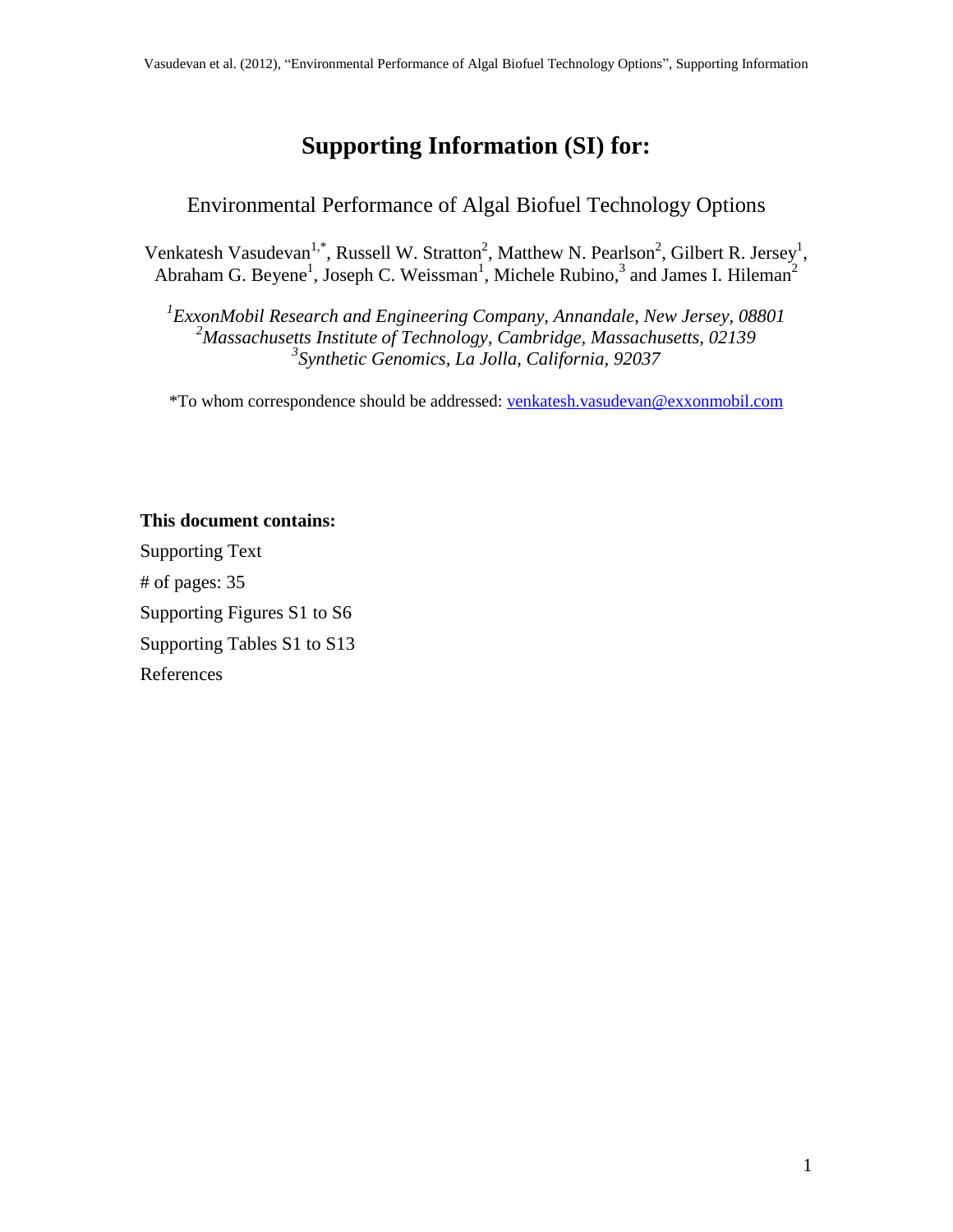# **Supporting Information (SI) for:**

### Environmental Performance of Algal Biofuel Technology Options

Venkatesh Vasudevan<sup>1,\*</sup>, Russell W. Stratton<sup>2</sup>, Matthew N. Pearlson<sup>2</sup>, Gilbert R. Jersey<sup>1</sup>, Abraham G. Beyene<sup>1</sup>, Joseph C. Weissman<sup>1</sup>, Michele Rubino,<sup>3</sup> and James I. Hileman<sup>2</sup>

*1 ExxonMobil Research and Engineering Company, Annandale, New Jersey, 08801 <sup>2</sup>Massachusetts Institute of Technology, Cambridge, Massachusetts, 02139 3 Synthetic Genomics, La Jolla, California, 92037*

\*To whom correspondence should be addressed[: venkatesh.vasudevan@exxonmobil.com](mailto:venkatesh.vasudevan@exxonmobil.com)

#### **This document contains:**

Supporting Text # of pages: 35 Supporting Figures S1 to S6 Supporting Tables S1 to S13 References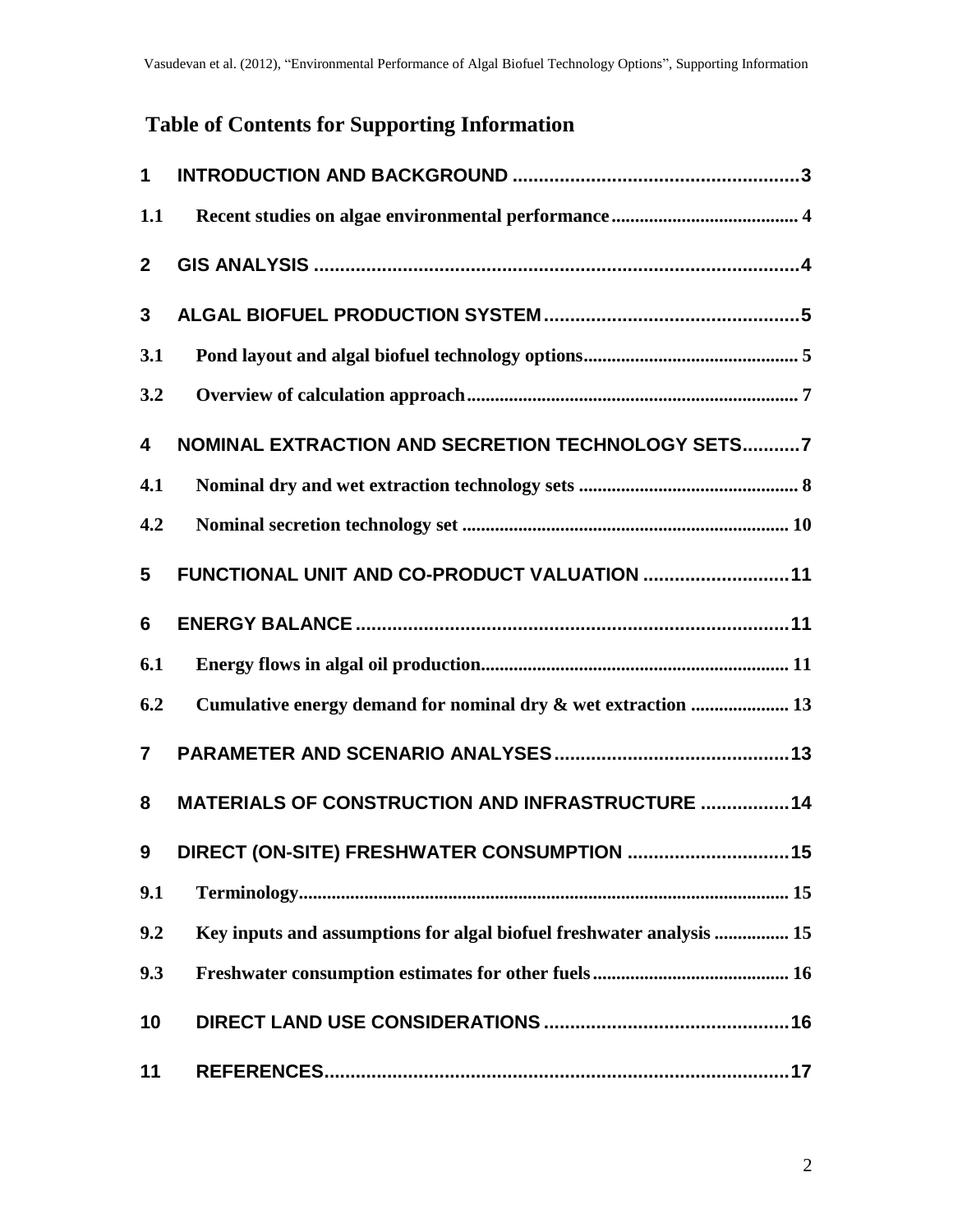# **Table of Contents for Supporting Information**

| $\mathbf 1$    |                                                                      |
|----------------|----------------------------------------------------------------------|
| 1.1            |                                                                      |
| $\mathbf{2}$   |                                                                      |
| $\mathbf{3}$   |                                                                      |
| 3.1            |                                                                      |
| 3.2            |                                                                      |
| 4              | NOMINAL EXTRACTION AND SECRETION TECHNOLOGY SETS7                    |
| 4.1            |                                                                      |
| 4.2            |                                                                      |
| 5              | FUNCTIONAL UNIT AND CO-PRODUCT VALUATION  11                         |
| 6              |                                                                      |
| 6.1            |                                                                      |
| 6.2            | Cumulative energy demand for nominal dry & wet extraction  13        |
| $\overline{7}$ |                                                                      |
| 8              | <b>MATERIALS OF CONSTRUCTION AND INFRASTRUCTURE  14</b>              |
| 9              | DIRECT (ON-SITE) FRESHWATER CONSUMPTION  15                          |
| 9.1            |                                                                      |
| 9.2            | Key inputs and assumptions for algal biofuel freshwater analysis  15 |
| 9.3            |                                                                      |
| 10             |                                                                      |
| 11             |                                                                      |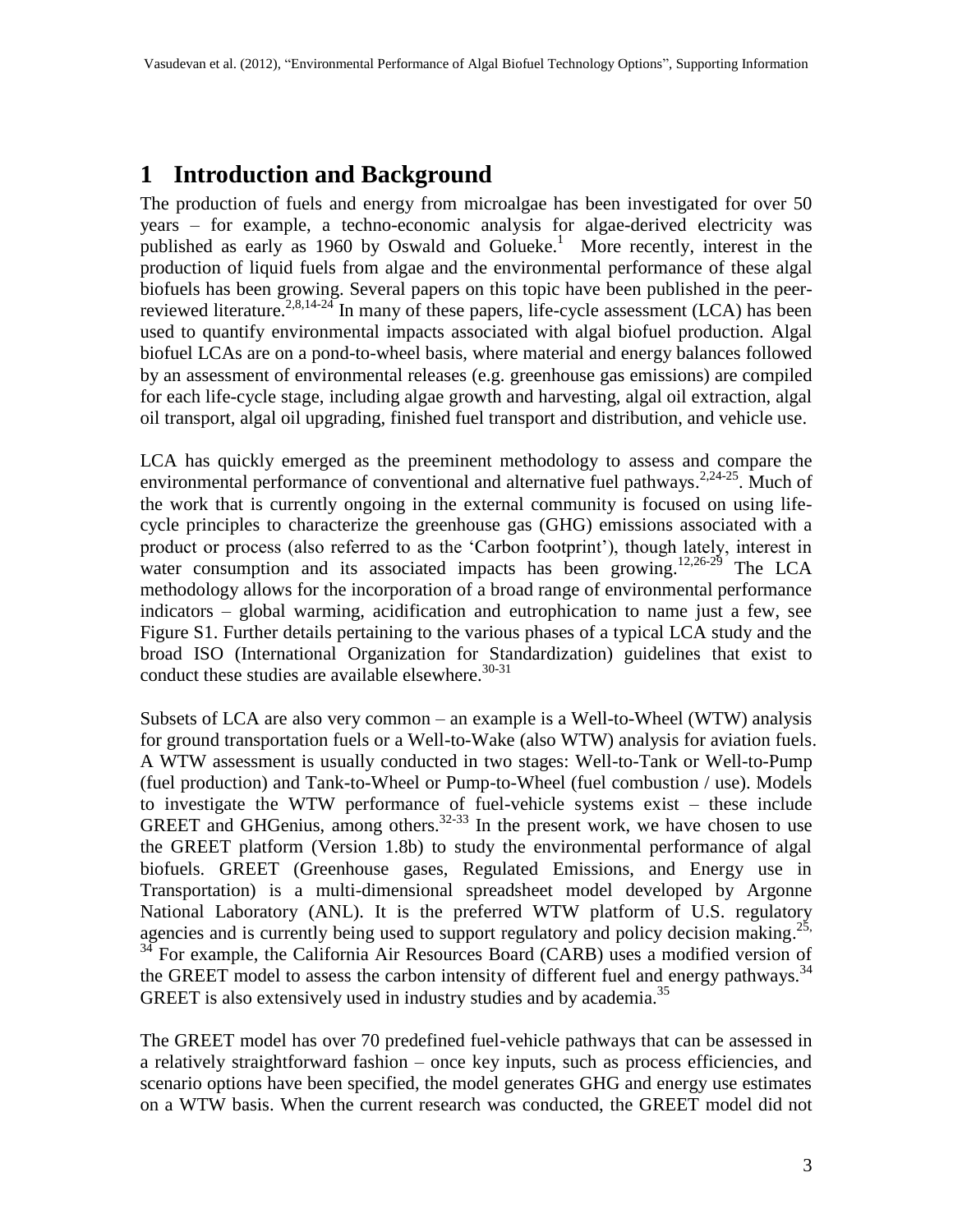## **1 Introduction and Background**

The production of fuels and energy from microalgae has been investigated for over 50 years – for example, a techno-economic analysis for algae-derived electricity was published as early as [1](#page-16-0)960 by Oswald and Golueke.<sup>1</sup> More recently, interest in the production of liquid fuels from algae and the environmental performance of these algal biofuels has been growing. Several papers on this topic have been published in the peer-reviewed literature.<sup>[2,](#page-16-1)[8,](#page-16-2)[14](#page-17-0)[-24](#page-17-1)</sup> In many of these papers, life-cycle assessment (LCA) has been used to quantify environmental impacts associated with algal biofuel production. Algal biofuel LCAs are on a pond-to-wheel basis, where material and energy balances followed by an assessment of environmental releases (e.g. greenhouse gas emissions) are compiled for each life-cycle stage, including algae growth and harvesting, algal oil extraction, algal oil transport, algal oil upgrading, finished fuel transport and distribution, and vehicle use.

LCA has quickly emerged as the preeminent methodology to assess and compare the environmental performance of conventional and alternative fuel pathways.<sup>[2,](#page-16-1)[24](#page-17-1)[-25](#page-17-2)</sup>. Much of the work that is currently ongoing in the external community is focused on using lifecycle principles to characterize the greenhouse gas (GHG) emissions associated with a product or process (also referred to as the "Carbon footprint"), though lately, interest in water consumption and its associated impacts has been growing.<sup>[12,](#page-17-3)[26](#page-17-4)[-29](#page-17-5)</sup> The LCA methodology allows for the incorporation of a broad range of environmental performance indicators – global warming, acidification and eutrophication to name just a few, see Figure S1. Further details pertaining to the various phases of a typical LCA study and the broad ISO (International Organization for Standardization) guidelines that exist to conduct these studies are available elsewhere. $30-31$  $30-31$ 

Subsets of LCA are also very common – an example is a Well-to-Wheel (WTW) analysis for ground transportation fuels or a Well-to-Wake (also WTW) analysis for aviation fuels. A WTW assessment is usually conducted in two stages: Well-to-Tank or Well-to-Pump (fuel production) and Tank-to-Wheel or Pump-to-Wheel (fuel combustion / use). Models to investigate the WTW performance of fuel-vehicle systems exist – these include GREET and GHGenius, among others.<sup>[32-](#page-18-1)[33](#page-18-2)</sup> In the present work, we have chosen to use the GREET platform (Version 1.8b) to study the environmental performance of algal biofuels. GREET (Greenhouse gases, Regulated Emissions, and Energy use in Transportation) is a multi-dimensional spreadsheet model developed by Argonne National Laboratory (ANL). It is the preferred WTW platform of U.S. regulatory agencies and is currently being used to support regulatory and policy decision making.<sup>[25,](#page-17-2)</sup>  $34$  For example, the California Air Resources Board (CARB) uses a modified version of the GREET model to assess the carbon intensity of different fuel and energy pathways.<sup>[34](#page-18-3)</sup> GREET is also extensively used in industry studies and by academia.<sup>[35](#page-18-4)</sup>

The GREET model has over 70 predefined fuel-vehicle pathways that can be assessed in a relatively straightforward fashion – once key inputs, such as process efficiencies, and scenario options have been specified, the model generates GHG and energy use estimates on a WTW basis. When the current research was conducted, the GREET model did not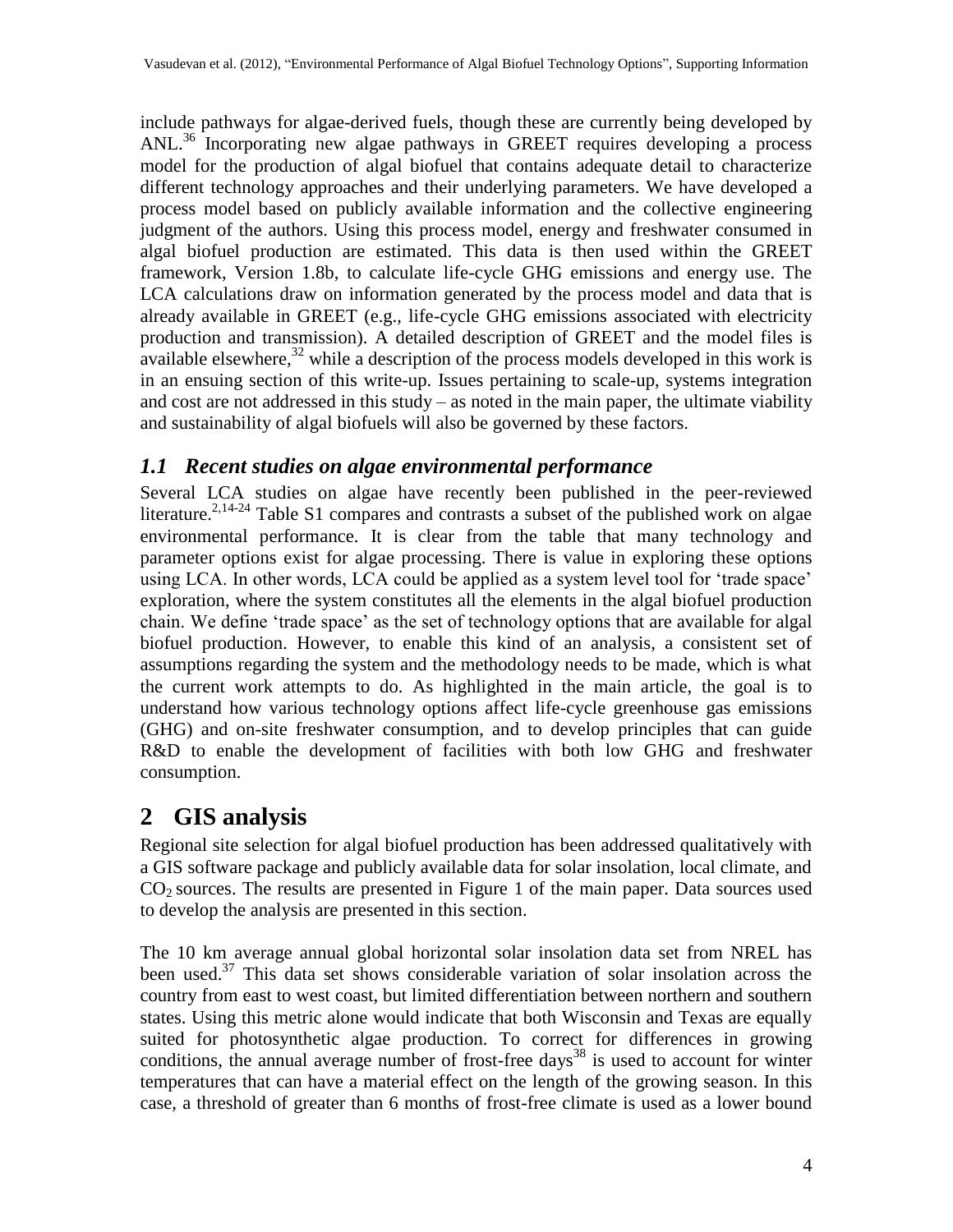include pathways for algae-derived fuels, though these are currently being developed by ANL.<sup>[36](#page-18-5)</sup> Incorporating new algae pathways in GREET requires developing a process model for the production of algal biofuel that contains adequate detail to characterize different technology approaches and their underlying parameters. We have developed a process model based on publicly available information and the collective engineering judgment of the authors. Using this process model, energy and freshwater consumed in algal biofuel production are estimated. This data is then used within the GREET framework, Version 1.8b, to calculate life-cycle GHG emissions and energy use. The LCA calculations draw on information generated by the process model and data that is already available in GREET (e.g., life-cycle GHG emissions associated with electricity production and transmission). A detailed description of GREET and the model files is available elsewhere,<sup>[32](#page-18-1)</sup> while a description of the process models developed in this work is in an ensuing section of this write-up. Issues pertaining to scale-up, systems integration and cost are not addressed in this study – as noted in the main paper, the ultimate viability and sustainability of algal biofuels will also be governed by these factors.

#### *1.1 Recent studies on algae environmental performance*

Several LCA studies on algae have recently been published in the peer-reviewed literature.<sup>[2,](#page-16-1)[14-](#page-17-0)[24](#page-17-1)</sup> Table S1 compares and contrasts a subset of the published work on algae environmental performance. It is clear from the table that many technology and parameter options exist for algae processing. There is value in exploring these options using LCA. In other words, LCA could be applied as a system level tool for 'trade space' exploration, where the system constitutes all the elements in the algal biofuel production chain. We define "trade space" as the set of technology options that are available for algal biofuel production. However, to enable this kind of an analysis, a consistent set of assumptions regarding the system and the methodology needs to be made, which is what the current work attempts to do. As highlighted in the main article, the goal is to understand how various technology options affect life-cycle greenhouse gas emissions (GHG) and on-site freshwater consumption, and to develop principles that can guide R&D to enable the development of facilities with both low GHG and freshwater consumption.

# **2 GIS analysis**

Regional site selection for algal biofuel production has been addressed qualitatively with a GIS software package and publicly available data for solar insolation, local climate, and  $CO<sub>2</sub>$  sources. The results are presented in Figure 1 of the main paper. Data sources used to develop the analysis are presented in this section.

The 10 km average annual global horizontal solar insolation data set from NREL has been used. [37](#page-18-6) This data set shows considerable variation of solar insolation across the country from east to west coast, but limited differentiation between northern and southern states. Using this metric alone would indicate that both Wisconsin and Texas are equally suited for photosynthetic algae production. To correct for differences in growing conditions, the annual average number of frost-free days<sup>[38](#page-18-7)</sup> is used to account for winter temperatures that can have a material effect on the length of the growing season. In this case, a threshold of greater than 6 months of frost-free climate is used as a lower bound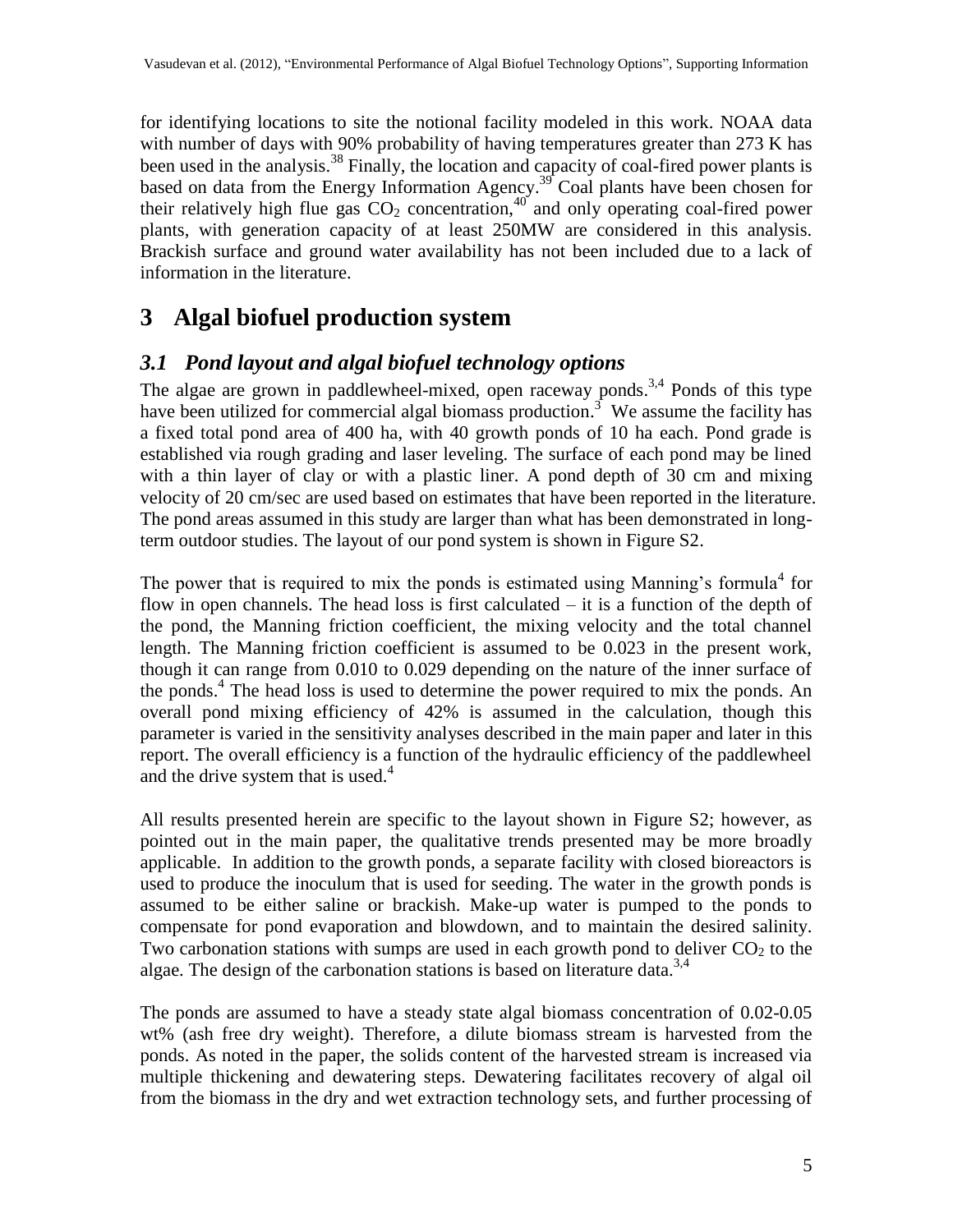for identifying locations to site the notional facility modeled in this work. NOAA data with number of days with 90% probability of having temperatures greater than 273 K has been used in the analysis.<sup>[38](#page-18-7)</sup> Finally, the location and capacity of coal-fired power plants is based on data from the Energy Information Agency.<sup>[39](#page-18-8)</sup> Coal plants have been chosen for their relatively high flue gas  $CO_2$  concentration,<sup>[40](#page-18-9)</sup> and only operating coal-fired power plants, with generation capacity of at least 250MW are considered in this analysis. Brackish surface and ground water availability has not been included due to a lack of information in the literature.

# **3 Algal biofuel production system**

#### *3.1 Pond layout and algal biofuel technology options*

The algae are grown in paddlewheel-mixed, open raceway ponds.<sup>[3,](#page-16-3)[4](#page-16-4)</sup> Ponds of this type have been utilized for commercial algal biomass production.<sup>[3](#page-16-3)</sup> We assume the facility has a fixed total pond area of 400 ha, with 40 growth ponds of 10 ha each. Pond grade is established via rough grading and laser leveling. The surface of each pond may be lined with a thin layer of clay or with a plastic liner. A pond depth of 30 cm and mixing velocity of 20 cm/sec are used based on estimates that have been reported in the literature. The pond areas assumed in this study are larger than what has been demonstrated in longterm outdoor studies. The layout of our pond system is shown in Figure S2.

The power that is required to mix the ponds is estimated using Manning's formula<sup>[4](#page-16-4)</sup> for flow in open channels. The head loss is first calculated – it is a function of the depth of the pond, the Manning friction coefficient, the mixing velocity and the total channel length. The Manning friction coefficient is assumed to be 0.023 in the present work, though it can range from 0.010 to 0.029 depending on the nature of the inner surface of the ponds.<sup>[4](#page-16-4)</sup> The head loss is used to determine the power required to mix the ponds. An overall pond mixing efficiency of 42% is assumed in the calculation, though this parameter is varied in the sensitivity analyses described in the main paper and later in this report. The overall efficiency is a function of the hydraulic efficiency of the paddlewheel and the drive system that is used. $4$ 

All results presented herein are specific to the layout shown in Figure S2; however, as pointed out in the main paper, the qualitative trends presented may be more broadly applicable. In addition to the growth ponds, a separate facility with closed bioreactors is used to produce the inoculum that is used for seeding. The water in the growth ponds is assumed to be either saline or brackish. Make-up water is pumped to the ponds to compensate for pond evaporation and blowdown, and to maintain the desired salinity. Two carbonation stations with sumps are used in each growth pond to deliver  $CO<sub>2</sub>$  to the algae. The design of the carbonation stations is based on literature data.<sup>[3,](#page-16-3)[4](#page-16-4)</sup>

The ponds are assumed to have a steady state algal biomass concentration of 0.02-0.05 wt% (ash free dry weight). Therefore, a dilute biomass stream is harvested from the ponds. As noted in the paper, the solids content of the harvested stream is increased via multiple thickening and dewatering steps. Dewatering facilitates recovery of algal oil from the biomass in the dry and wet extraction technology sets, and further processing of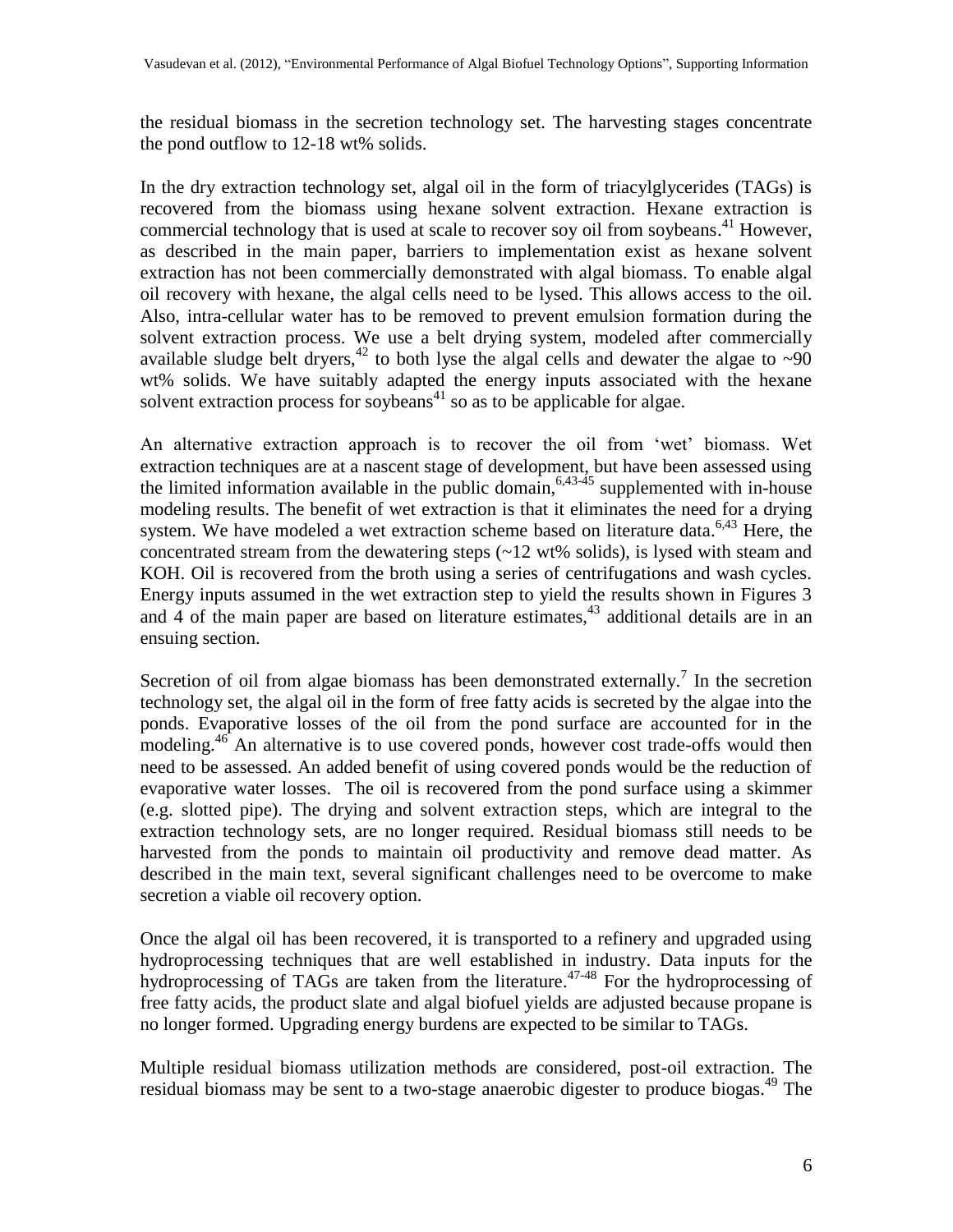the residual biomass in the secretion technology set. The harvesting stages concentrate the pond outflow to 12-18 wt% solids.

In the dry extraction technology set, algal oil in the form of triacylglycerides (TAGs) is recovered from the biomass using hexane solvent extraction. Hexane extraction is commercial technology that is used at scale to recover soy oil from soybeans.<sup>[41](#page-18-10)</sup> However, as described in the main paper, barriers to implementation exist as hexane solvent extraction has not been commercially demonstrated with algal biomass. To enable algal oil recovery with hexane, the algal cells need to be lysed. This allows access to the oil. Also, intra-cellular water has to be removed to prevent emulsion formation during the solvent extraction process. We use a belt drying system, modeled after commercially available sludge belt dryers,<sup>[42](#page-18-11)</sup> to both lyse the algal cells and dewater the algae to  $\sim 90$ wt% solids. We have suitably adapted the energy inputs associated with the hexane solvent extraction process for soybeans<sup>[41](#page-18-10)</sup> so as to be applicable for algae.

An alternative extraction approach is to recover the oil from "wet" biomass. Wet extraction techniques are at a nascent stage of development, but have been assessed using the limited information available in the public domain,  $6,43-45$  $6,43-45$  $6,43-45$  supplemented with in-house modeling results. The benefit of wet extraction is that it eliminates the need for a drying system. We have modeled a wet extraction scheme based on literature data.  $6,43$  $6,43$  Here, the concentrated stream from the dewatering steps  $(\sim 12 \text{ wt\%}$  solids), is lysed with steam and KOH. Oil is recovered from the broth using a series of centrifugations and wash cycles. Energy inputs assumed in the wet extraction step to yield the results shown in Figures 3 and  $\frac{3}{4}$  of the main paper are based on literature estimates,  $43$  additional details are in an ensuing section.

Secretion of oil from algae biomass has been demonstrated externally[.](#page-16-6)<sup>7</sup> In the secretion technology set, the algal oil in the form of free fatty acids is secreted by the algae into the ponds. Evaporative losses of the oil from the pond surface are accounted for in the modeling.<sup>[46](#page-18-14)</sup> An alternative is to use covered ponds, however cost trade-offs would then need to be assessed. An added benefit of using covered ponds would be the reduction of evaporative water losses. The oil is recovered from the pond surface using a skimmer (e.g. slotted pipe). The drying and solvent extraction steps, which are integral to the extraction technology sets, are no longer required. Residual biomass still needs to be harvested from the ponds to maintain oil productivity and remove dead matter. As described in the main text, several significant challenges need to be overcome to make secretion a viable oil recovery option.

Once the algal oil has been recovered, it is transported to a refinery and upgraded using hydroprocessing techniques that are well established in industry. Data inputs for the hydroprocessing of TAGs are taken from the literature.<sup>[47](#page-18-15)[-48](#page-18-16)</sup> For the hydroprocessing of free fatty acids, the product slate and algal biofuel yields are adjusted because propane is no longer formed. Upgrading energy burdens are expected to be similar to TAGs.

Multiple residual biomass utilization methods are considered, post-oil extraction. The residual biomass may be sent to a two-stage anaerobic digester to produce biogas.<sup>[49](#page-18-17)</sup> The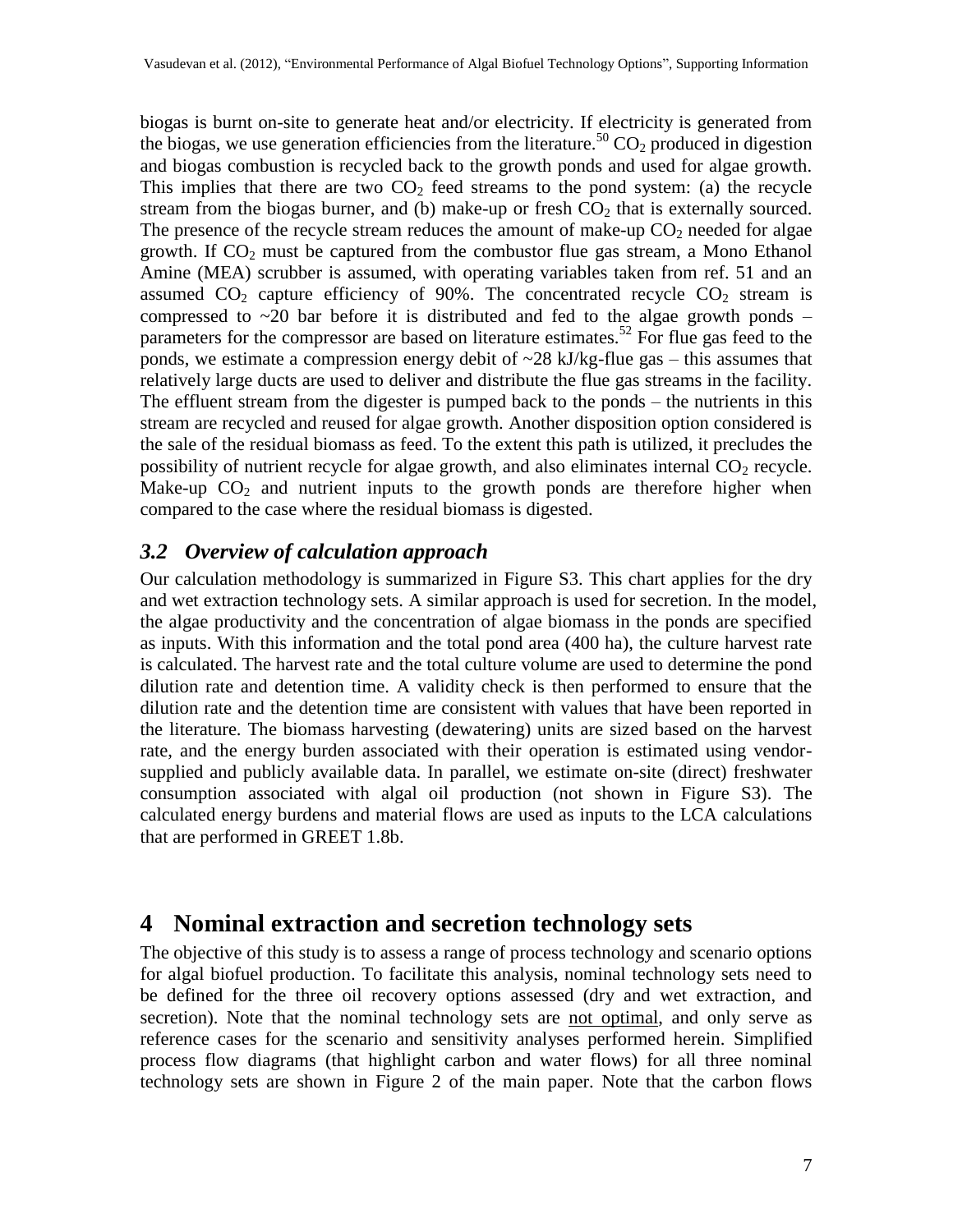biogas is burnt on-site to generate heat and/or electricity. If electricity is generated from the biogas, we use generation efficiencies from the literature.<sup>[50](#page-18-18)</sup>  $CO_2$  produced in digestion and biogas combustion is recycled back to the growth ponds and used for algae growth. This implies that there are two  $CO<sub>2</sub>$  feed streams to the pond system: (a) the recycle stream from the biogas burner, and (b) make-up or fresh  $CO<sub>2</sub>$  that is externally sourced. The presence of the recycle stream reduces the amount of make-up  $CO<sub>2</sub>$  needed for algae growth. If  $CO<sub>2</sub>$  must be captured from the combustor flue gas stream, a Mono Ethanol Amine (MEA) scrubber is assumed, with operating variables taken from ref. [51](#page-19-0) and an assumed  $CO<sub>2</sub>$  capture efficiency of 90%. The concentrated recycle  $CO<sub>2</sub>$  stream is compressed to  $\sim$ 20 bar before it is distributed and fed to the algae growth ponds – parameters for the compressor are based on literature estimates.<sup>[52](#page-19-1)</sup> For flue gas feed to the ponds, we estimate a compression energy debit of  $\sim$ 28 kJ/kg-flue gas – this assumes that relatively large ducts are used to deliver and distribute the flue gas streams in the facility. The effluent stream from the digester is pumped back to the ponds – the nutrients in this stream are recycled and reused for algae growth. Another disposition option considered is the sale of the residual biomass as feed. To the extent this path is utilized, it precludes the possibility of nutrient recycle for algae growth, and also eliminates internal  $CO<sub>2</sub>$  recycle. Make-up  $CO<sub>2</sub>$  and nutrient inputs to the growth ponds are therefore higher when compared to the case where the residual biomass is digested.

#### *3.2 Overview of calculation approach*

Our calculation methodology is summarized in Figure S3. This chart applies for the dry and wet extraction technology sets. A similar approach is used for secretion. In the model, the algae productivity and the concentration of algae biomass in the ponds are specified as inputs. With this information and the total pond area (400 ha), the culture harvest rate is calculated. The harvest rate and the total culture volume are used to determine the pond dilution rate and detention time. A validity check is then performed to ensure that the dilution rate and the detention time are consistent with values that have been reported in the literature. The biomass harvesting (dewatering) units are sized based on the harvest rate, and the energy burden associated with their operation is estimated using vendorsupplied and publicly available data. In parallel, we estimate on-site (direct) freshwater consumption associated with algal oil production (not shown in Figure S3). The calculated energy burdens and material flows are used as inputs to the LCA calculations that are performed in GREET 1.8b.

#### **4 Nominal extraction and secretion technology sets**

The objective of this study is to assess a range of process technology and scenario options for algal biofuel production. To facilitate this analysis, nominal technology sets need to be defined for the three oil recovery options assessed (dry and wet extraction, and secretion). Note that the nominal technology sets are not optimal, and only serve as reference cases for the scenario and sensitivity analyses performed herein. Simplified process flow diagrams (that highlight carbon and water flows) for all three nominal technology sets are shown in Figure 2 of the main paper. Note that the carbon flows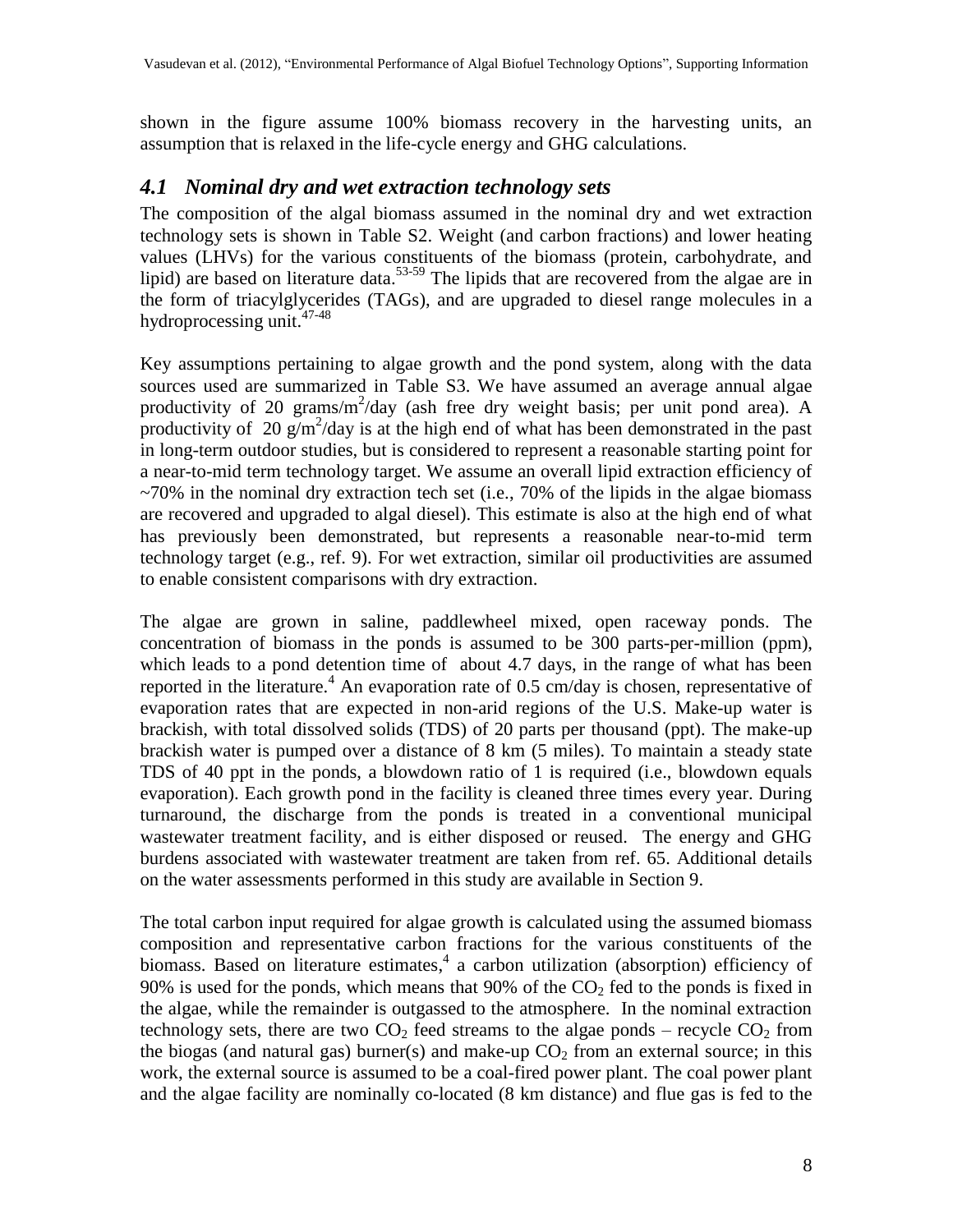shown in the figure assume 100% biomass recovery in the harvesting units, an assumption that is relaxed in the life-cycle energy and GHG calculations.

#### *4.1 Nominal dry and wet extraction technology sets*

The composition of the algal biomass assumed in the nominal dry and wet extraction technology sets is shown in Table S2. Weight (and carbon fractions) and lower heating values (LHVs) for the various constituents of the biomass (protein, carbohydrate, and lipid) are based on literature data.<sup>[53-](#page-19-2)[59](#page-19-3)</sup> The lipids that are recovered from the algae are in the form of triacylglycerides (TAGs), and are upgraded to diesel range molecules in a hydroprocessing unit. [47](#page-18-15)[-48](#page-18-16)

Key assumptions pertaining to algae growth and the pond system, along with the data sources used are summarized in Table S3. We have assumed an average annual algae productivity of 20 grams/ $m^2$ /day (ash free dry weight basis; per unit pond area). A productivity of 20  $g/m^2$ /day is at the high end of what has been demonstrated in the past in long-term outdoor studies, but is considered to represent a reasonable starting point for a near-to-mid term technology target. We assume an overall lipid extraction efficiency of  $\sim$ 70% in the nominal dry extraction tech set (i.e., 70% of the lipids in the algae biomass are recovered and upgraded to algal diesel). This estimate is also at the high end of what has previously been demonstrated, but represents a reasonable near-to-mid term technology target (e.g., ref. [9\)](#page-16-7). For wet extraction, similar oil productivities are assumed to enable consistent comparisons with dry extraction.

The algae are grown in saline, paddlewheel mixed, open raceway ponds. The concentration of biomass in the ponds is assumed to be 300 parts-per-million (ppm), which leads to a pond detention time of about 4.7 days, in the range of what has been reported in the literature.<sup>[4](#page-16-4)</sup> An evaporation rate of 0.5 cm/day is chosen, representative of evaporation rates that are expected in non-arid regions of the U.S. Make-up water is brackish, with total dissolved solids (TDS) of 20 parts per thousand (ppt). The make-up brackish water is pumped over a distance of 8 km (5 miles). To maintain a steady state TDS of 40 ppt in the ponds, a blowdown ratio of 1 is required (i.e., blowdown equals evaporation). Each growth pond in the facility is cleaned three times every year. During turnaround, the discharge from the ponds is treated in a conventional municipal wastewater treatment facility, and is either disposed or reused. The energy and GHG burdens associated with wastewater treatment are taken from ref. [65.](#page-19-4) Additional details on the water assessments performed in this study are available in Section 9.

The total carbon input required for algae growth is calculated using the assumed biomass composition and representative carbon fractions for the various constituents of the biomass. Based on literature estimates[,](#page-16-4)<sup>4</sup> a carbon utilization (absorption) efficiency of 90% is used for the ponds, which means that 90% of the  $CO<sub>2</sub>$  fed to the ponds is fixed in the algae, while the remainder is outgassed to the atmosphere. In the nominal extraction technology sets, there are two  $CO<sub>2</sub>$  feed streams to the algae ponds – recycle  $CO<sub>2</sub>$  from the biogas (and natural gas) burner(s) and make-up  $CO<sub>2</sub>$  from an external source; in this work, the external source is assumed to be a coal-fired power plant. The coal power plant and the algae facility are nominally co-located (8 km distance) and flue gas is fed to the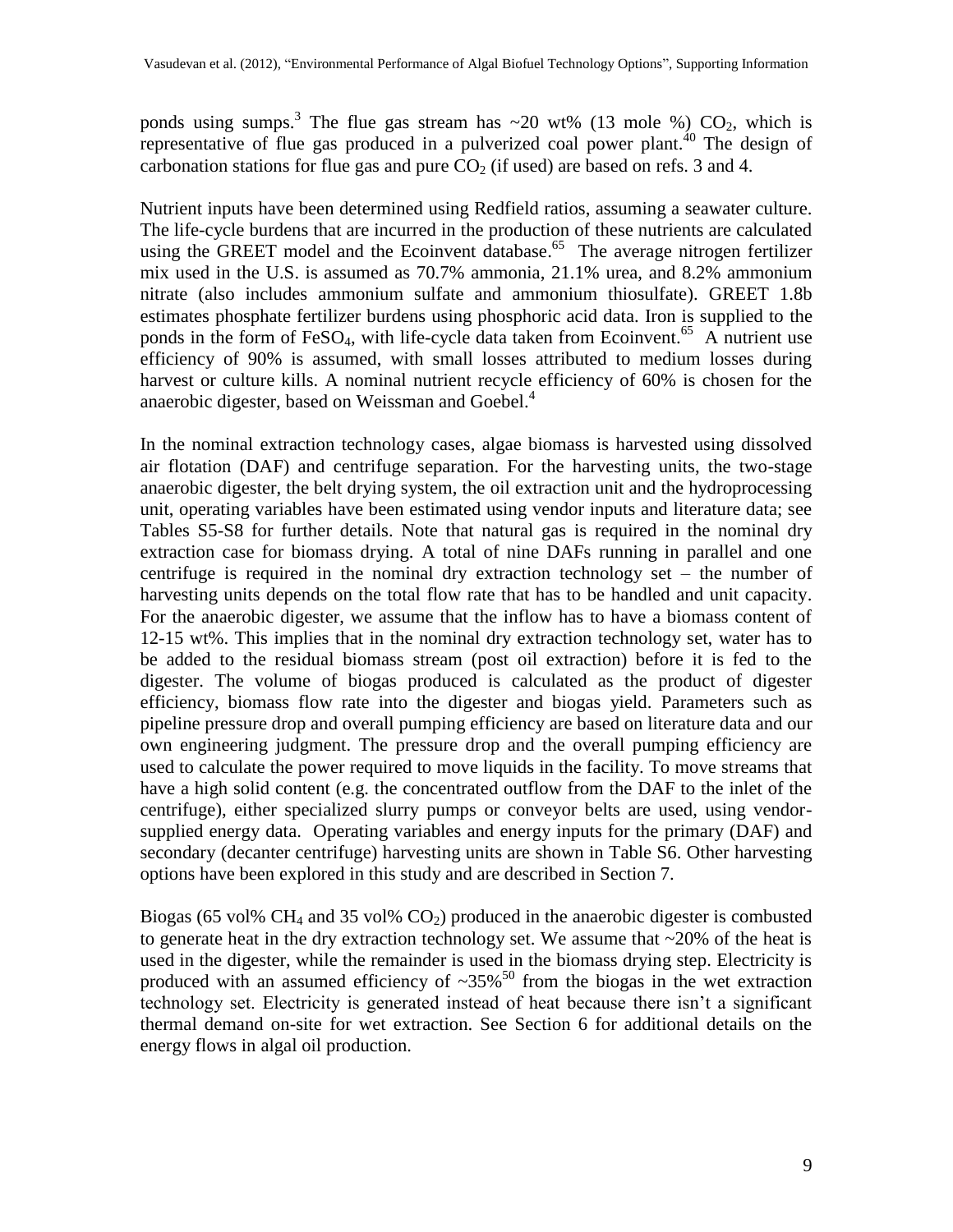ponds using sumps[.](#page-16-3)<sup>3</sup> The flue gas stream has  $\sim$  20 wt% (13 mole %) CO<sub>2</sub>, which is representative of flue gas produced in a pulverized coal power plant.  $40$  The design of carbonation stations for flue gas and pure  $CO<sub>2</sub>$  (if used) are based on refs. [3](#page-16-3) and [4.](#page-16-4)

Nutrient inputs have been determined using Redfield ratios, assuming a seawater culture. The life-cycle burdens that are incurred in the production of these nutrients are calculated using the GREET model and the Ecoinvent database. [65](#page-19-4) The average nitrogen fertilizer mix used in the U.S. is assumed as 70.7% ammonia, 21.1% urea, and 8.2% ammonium nitrate (also includes ammonium sulfate and ammonium thiosulfate). GREET 1.8b estimates phosphate fertilizer burdens using phosphoric acid data. Iron is supplied to the ponds in the form of FeSO<sub>4</sub>, with life-cycle data taken from Ecoinvent.<sup>[65](#page-19-4)</sup> A nutrient use efficiency of 90% is assumed, with small losses attributed to medium losses during harvest or culture kills. A nominal nutrient recycle efficiency of 60% is chosen for the anaerobic digester, based on Weissman and Goebel.<sup>[4](#page-16-4)</sup>

In the nominal extraction technology cases, algae biomass is harvested using dissolved air flotation (DAF) and centrifuge separation. For the harvesting units, the two-stage anaerobic digester, the belt drying system, the oil extraction unit and the hydroprocessing unit, operating variables have been estimated using vendor inputs and literature data; see Tables S5-S8 for further details. Note that natural gas is required in the nominal dry extraction case for biomass drying. A total of nine DAFs running in parallel and one centrifuge is required in the nominal dry extraction technology set – the number of harvesting units depends on the total flow rate that has to be handled and unit capacity. For the anaerobic digester, we assume that the inflow has to have a biomass content of 12-15 wt%. This implies that in the nominal dry extraction technology set, water has to be added to the residual biomass stream (post oil extraction) before it is fed to the digester. The volume of biogas produced is calculated as the product of digester efficiency, biomass flow rate into the digester and biogas yield. Parameters such as pipeline pressure drop and overall pumping efficiency are based on literature data and our own engineering judgment. The pressure drop and the overall pumping efficiency are used to calculate the power required to move liquids in the facility. To move streams that have a high solid content (e.g. the concentrated outflow from the DAF to the inlet of the centrifuge), either specialized slurry pumps or conveyor belts are used, using vendorsupplied energy data. Operating variables and energy inputs for the primary (DAF) and secondary (decanter centrifuge) harvesting units are shown in Table S6. Other harvesting options have been explored in this study and are described in Section 7.

Biogas (65 vol%  $CH_4$  and 35 vol%  $CO_2$ ) produced in the anaerobic digester is combusted to generate heat in the dry extraction technology set. We assume that  $\sim$ 20% of the heat is used in the digester, while the remainder is used in the biomass drying step. Electricity is produced with an assumed efficiency of  $\sim 35\%$ <sup>[50](#page-18-18)</sup> from the biogas in the wet extraction technology set. Electricity is generated instead of heat because there isn"t a significant thermal demand on-site for wet extraction. See Section 6 for additional details on the energy flows in algal oil production.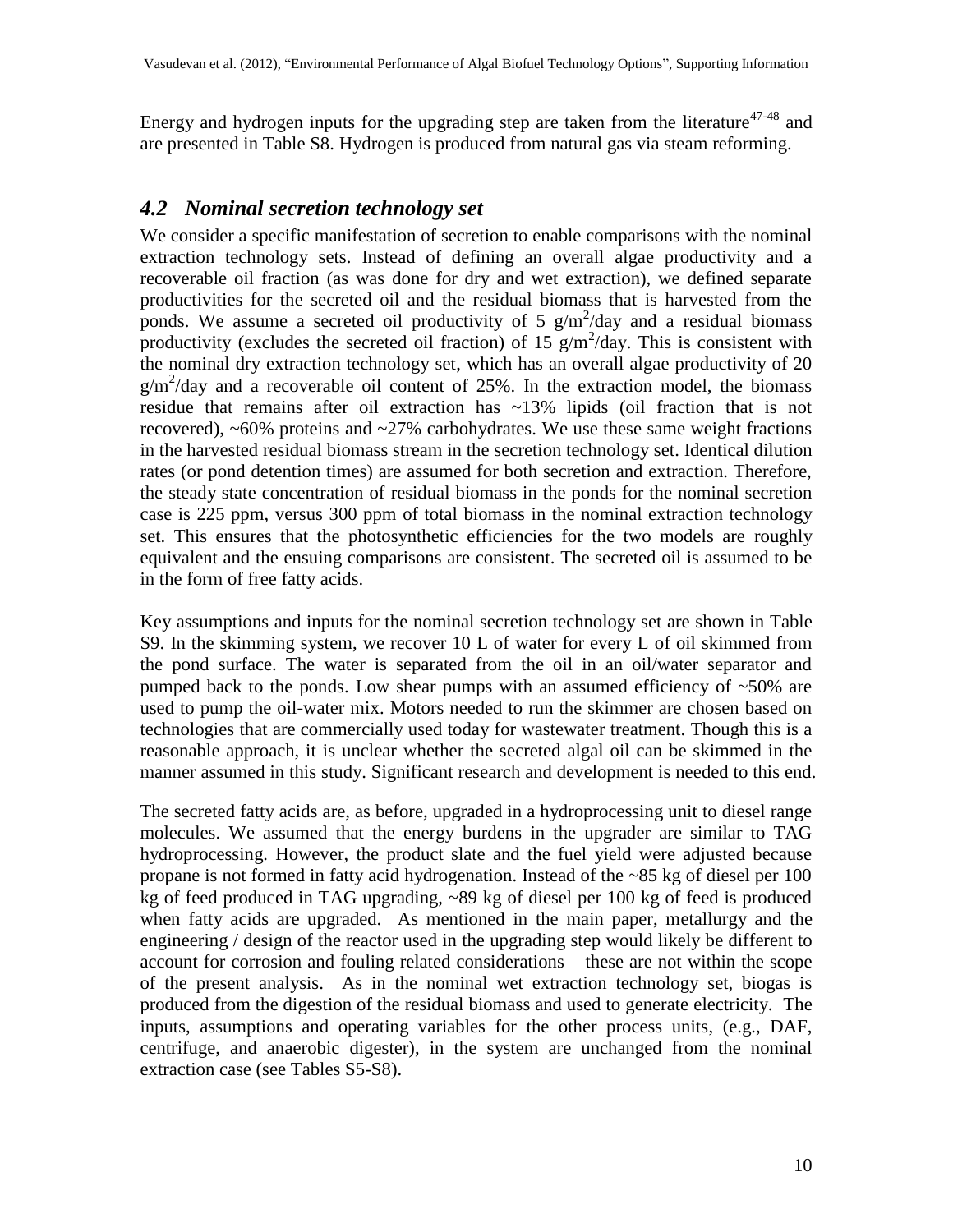Energy and hydrogen inputs for the upgrading step are taken from the literature $47-48$  $47-48$  and are presented in Table S8. Hydrogen is produced from natural gas via steam reforming.

#### *4.2 Nominal secretion technology set*

We consider a specific manifestation of secretion to enable comparisons with the nominal extraction technology sets. Instead of defining an overall algae productivity and a recoverable oil fraction (as was done for dry and wet extraction), we defined separate productivities for the secreted oil and the residual biomass that is harvested from the ponds. We assume a secreted oil productivity of 5  $g/m^2$ /day and a residual biomass productivity (excludes the secreted oil fraction) of 15  $g/m^2$ /day. This is consistent with the nominal dry extraction technology set, which has an overall algae productivity of 20  $g/m^2$ /day and a recoverable oil content of 25%. In the extraction model, the biomass residue that remains after oil extraction has ~13% lipids (oil fraction that is not recovered),  $~60\%$  proteins and  $~27\%$  carbohydrates. We use these same weight fractions in the harvested residual biomass stream in the secretion technology set. Identical dilution rates (or pond detention times) are assumed for both secretion and extraction. Therefore, the steady state concentration of residual biomass in the ponds for the nominal secretion case is 225 ppm, versus 300 ppm of total biomass in the nominal extraction technology set. This ensures that the photosynthetic efficiencies for the two models are roughly equivalent and the ensuing comparisons are consistent. The secreted oil is assumed to be in the form of free fatty acids.

Key assumptions and inputs for the nominal secretion technology set are shown in Table S9. In the skimming system, we recover 10 L of water for every L of oil skimmed from the pond surface. The water is separated from the oil in an oil/water separator and pumped back to the ponds. Low shear pumps with an assumed efficiency of  $~50\%$  are used to pump the oil-water mix. Motors needed to run the skimmer are chosen based on technologies that are commercially used today for wastewater treatment. Though this is a reasonable approach, it is unclear whether the secreted algal oil can be skimmed in the manner assumed in this study. Significant research and development is needed to this end.

The secreted fatty acids are, as before, upgraded in a hydroprocessing unit to diesel range molecules. We assumed that the energy burdens in the upgrader are similar to TAG hydroprocessing. However, the product slate and the fuel yield were adjusted because propane is not formed in fatty acid hydrogenation. Instead of the ~85 kg of diesel per 100 kg of feed produced in TAG upgrading, ~89 kg of diesel per 100 kg of feed is produced when fatty acids are upgraded. As mentioned in the main paper, metallurgy and the engineering / design of the reactor used in the upgrading step would likely be different to account for corrosion and fouling related considerations – these are not within the scope of the present analysis. As in the nominal wet extraction technology set, biogas is produced from the digestion of the residual biomass and used to generate electricity. The inputs, assumptions and operating variables for the other process units, (e.g., DAF, centrifuge, and anaerobic digester), in the system are unchanged from the nominal extraction case (see Tables S5-S8).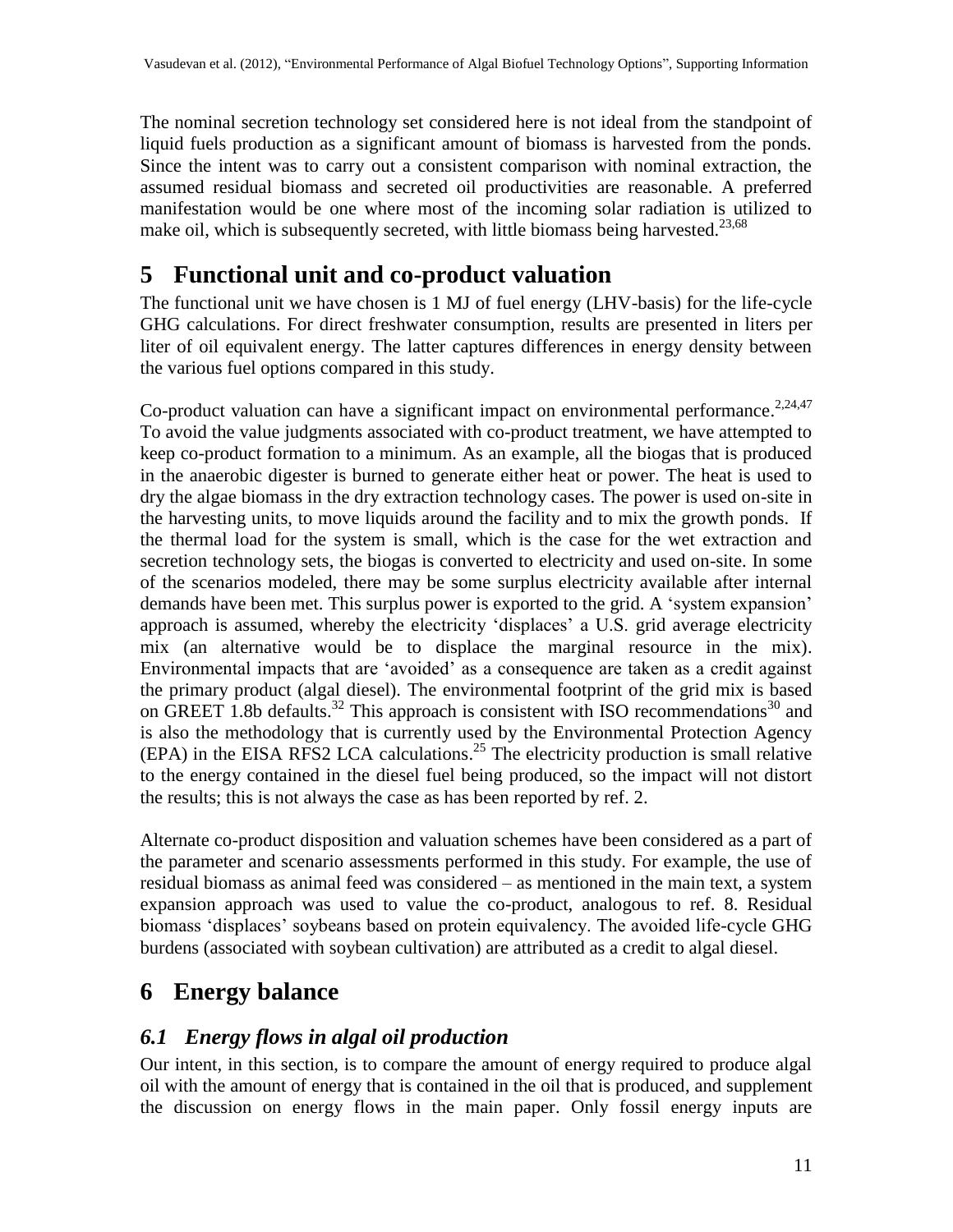The nominal secretion technology set considered here is not ideal from the standpoint of liquid fuels production as a significant amount of biomass is harvested from the ponds. Since the intent was to carry out a consistent comparison with nominal extraction, the assumed residual biomass and secreted oil productivities are reasonable. A preferred manifestation would be one where most of the incoming solar radiation is utilized to make oil, which is subsequently secreted, with little biomass being harvested.<sup>[23](#page-17-7)[,68](#page-19-5)</sup>

# **5 Functional unit and co-product valuation**

The functional unit we have chosen is 1 MJ of fuel energy (LHV-basis) for the life-cycle GHG calculations. For direct freshwater consumption, results are presented in liters per liter of oil equivalent energy. The latter captures differences in energy density between the various fuel options compared in this study.

Co-product valuation can have a significant impact on environmental performance.<sup>[2](#page-16-1)[,24](#page-17-1)[,47](#page-18-15)</sup> To avoid the value judgments associated with co-product treatment, we have attempted to keep co-product formation to a minimum. As an example, all the biogas that is produced in the anaerobic digester is burned to generate either heat or power. The heat is used to dry the algae biomass in the dry extraction technology cases. The power is used on-site in the harvesting units, to move liquids around the facility and to mix the growth ponds. If the thermal load for the system is small, which is the case for the wet extraction and secretion technology sets, the biogas is converted to electricity and used on-site. In some of the scenarios modeled, there may be some surplus electricity available after internal demands have been met. This surplus power is exported to the grid. A 'system expansion' approach is assumed, whereby the electricity 'displaces' a U.S. grid average electricity mix (an alternative would be to displace the marginal resource in the mix). Environmental impacts that are "avoided" as a consequence are taken as a credit against the primary product (algal diesel). The environmental footprint of the grid mix is based on GREET 1.8b defaults.<sup>[32](#page-18-1)</sup> This approach is consistent with ISO recommendations<sup>[30](#page-17-6)</sup> and is also the methodology that is currently used by the Environmental Protection Agency (EPA) in the EISA RFS2 LCA calculations. [25](#page-17-2) The electricity production is small relative to the energy contained in the diesel fuel being produced, so the impact will not distort the results; this is not always the case as has been reported by ref. [2.](#page-16-1)

Alternate co-product disposition and valuation schemes have been considered as a part of the parameter and scenario assessments performed in this study. For example, the use of residual biomass as animal feed was considered – as mentioned in the main text, a system expansion approach was used to value the co-product, analogous to ref. [8.](#page-16-2) Residual biomass "displaces" soybeans based on protein equivalency. The avoided life-cycle GHG burdens (associated with soybean cultivation) are attributed as a credit to algal diesel.

# **6 Energy balance**

### *6.1 Energy flows in algal oil production*

Our intent, in this section, is to compare the amount of energy required to produce algal oil with the amount of energy that is contained in the oil that is produced, and supplement the discussion on energy flows in the main paper. Only fossil energy inputs are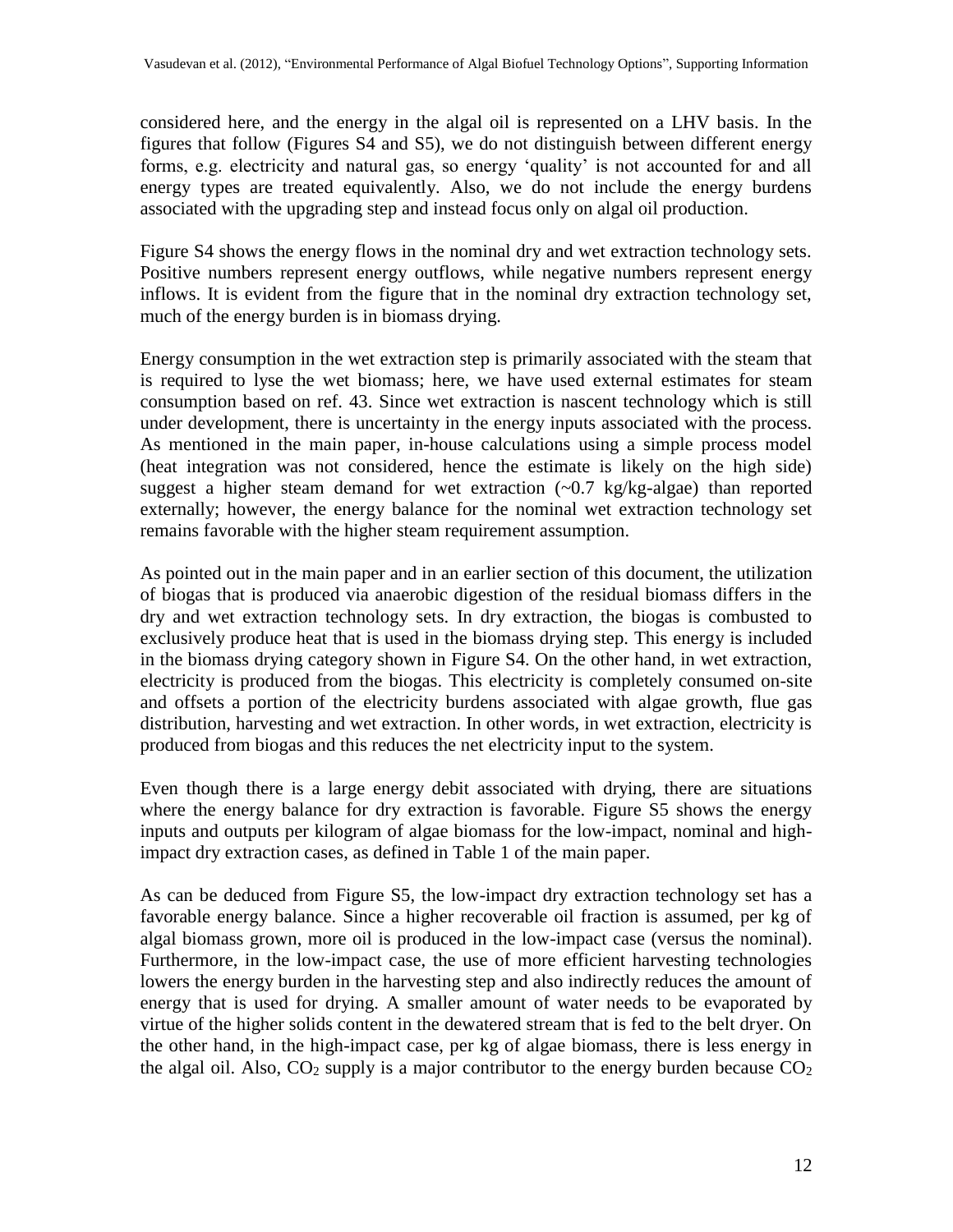considered here, and the energy in the algal oil is represented on a LHV basis. In the figures that follow (Figures S4 and S5), we do not distinguish between different energy forms, e.g. electricity and natural gas, so energy "quality" is not accounted for and all energy types are treated equivalently. Also, we do not include the energy burdens associated with the upgrading step and instead focus only on algal oil production.

Figure S4 shows the energy flows in the nominal dry and wet extraction technology sets. Positive numbers represent energy outflows, while negative numbers represent energy inflows. It is evident from the figure that in the nominal dry extraction technology set, much of the energy burden is in biomass drying.

Energy consumption in the wet extraction step is primarily associated with the steam that is required to lyse the wet biomass; here, we have used external estimates for steam consumption based on ref. [43.](#page-18-12) Since wet extraction is nascent technology which is still under development, there is uncertainty in the energy inputs associated with the process. As mentioned in the main paper, in-house calculations using a simple process model (heat integration was not considered, hence the estimate is likely on the high side) suggest a higher steam demand for wet extraction  $(-0.7 \text{ kg/kg-algae})$  than reported externally; however, the energy balance for the nominal wet extraction technology set remains favorable with the higher steam requirement assumption.

As pointed out in the main paper and in an earlier section of this document, the utilization of biogas that is produced via anaerobic digestion of the residual biomass differs in the dry and wet extraction technology sets. In dry extraction, the biogas is combusted to exclusively produce heat that is used in the biomass drying step. This energy is included in the biomass drying category shown in Figure S4. On the other hand, in wet extraction, electricity is produced from the biogas. This electricity is completely consumed on-site and offsets a portion of the electricity burdens associated with algae growth, flue gas distribution, harvesting and wet extraction. In other words, in wet extraction, electricity is produced from biogas and this reduces the net electricity input to the system.

Even though there is a large energy debit associated with drying, there are situations where the energy balance for dry extraction is favorable. Figure S5 shows the energy inputs and outputs per kilogram of algae biomass for the low-impact, nominal and highimpact dry extraction cases, as defined in Table 1 of the main paper.

As can be deduced from Figure S5, the low-impact dry extraction technology set has a favorable energy balance. Since a higher recoverable oil fraction is assumed, per kg of algal biomass grown, more oil is produced in the low-impact case (versus the nominal). Furthermore, in the low-impact case, the use of more efficient harvesting technologies lowers the energy burden in the harvesting step and also indirectly reduces the amount of energy that is used for drying. A smaller amount of water needs to be evaporated by virtue of the higher solids content in the dewatered stream that is fed to the belt dryer. On the other hand, in the high-impact case, per kg of algae biomass, there is less energy in the algal oil. Also,  $CO_2$  supply is a major contributor to the energy burden because  $CO_2$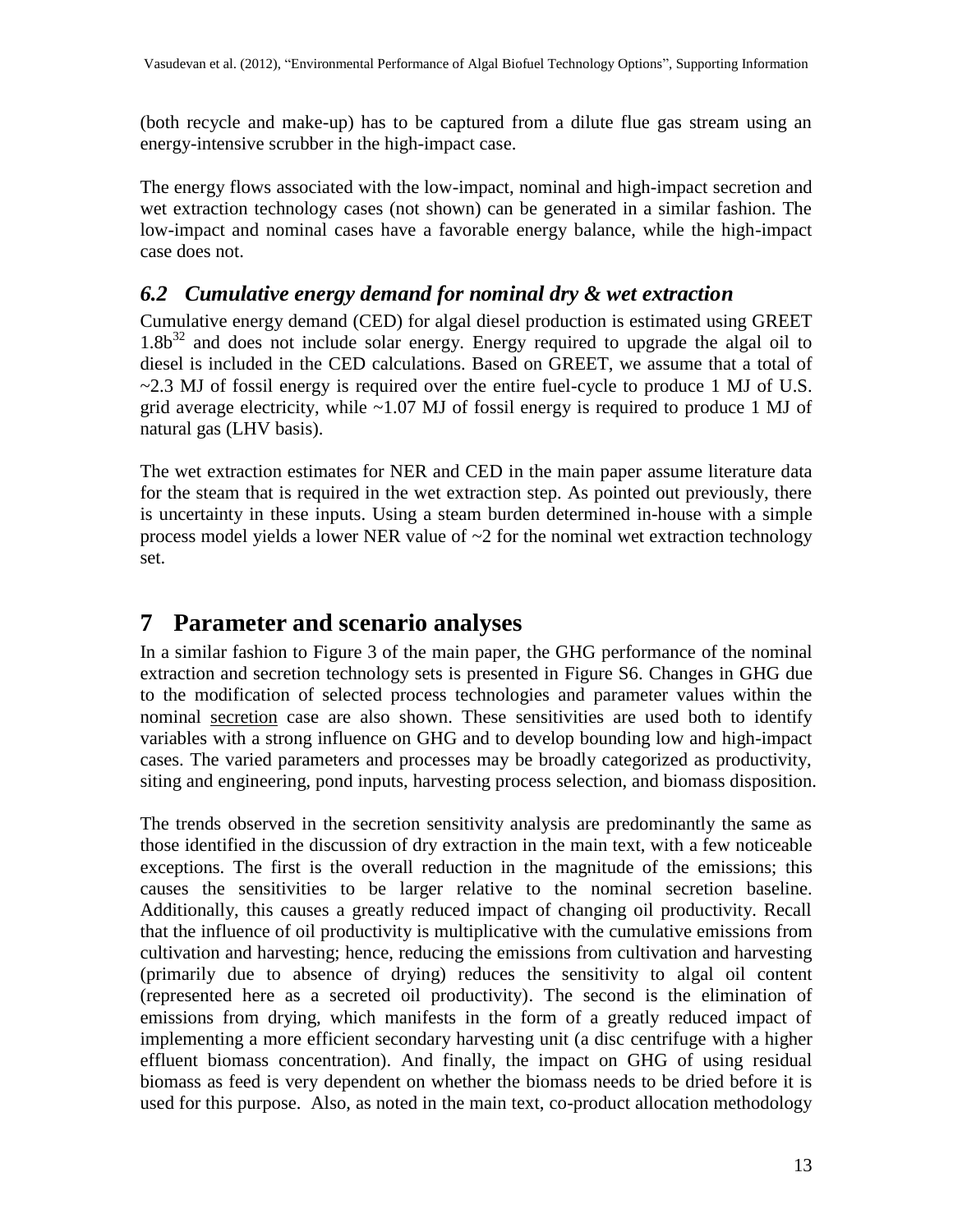(both recycle and make-up) has to be captured from a dilute flue gas stream using an energy-intensive scrubber in the high-impact case.

The energy flows associated with the low-impact, nominal and high-impact secretion and wet extraction technology cases (not shown) can be generated in a similar fashion. The low-impact and nominal cases have a favorable energy balance, while the high-impact case does not.

#### *6.2 Cumulative energy demand for nominal dry & wet extraction*

Cumulative energy demand (CED) for algal diesel production is estimated using GREET  $1.8b^{32}$  $1.8b^{32}$  $1.8b^{32}$  and does not include solar energy. Energy required to upgrade the algal oil to diesel is included in the CED calculations. Based on GREET, we assume that a total of  $\sim$ 2.3 MJ of fossil energy is required over the entire fuel-cycle to produce 1 MJ of U.S. grid average electricity, while  $\sim$ 1.07 MJ of fossil energy is required to produce 1 MJ of natural gas (LHV basis).

The wet extraction estimates for NER and CED in the main paper assume literature data for the steam that is required in the wet extraction step. As pointed out previously, there is uncertainty in these inputs. Using a steam burden determined in-house with a simple process model yields a lower NER value of  $\sim$ 2 for the nominal wet extraction technology set.

## **7 Parameter and scenario analyses**

In a similar fashion to Figure 3 of the main paper, the GHG performance of the nominal extraction and secretion technology sets is presented in Figure S6. Changes in GHG due to the modification of selected process technologies and parameter values within the nominal secretion case are also shown. These sensitivities are used both to identify variables with a strong influence on GHG and to develop bounding low and high-impact cases. The varied parameters and processes may be broadly categorized as productivity, siting and engineering, pond inputs, harvesting process selection, and biomass disposition.

The trends observed in the secretion sensitivity analysis are predominantly the same as those identified in the discussion of dry extraction in the main text, with a few noticeable exceptions. The first is the overall reduction in the magnitude of the emissions; this causes the sensitivities to be larger relative to the nominal secretion baseline. Additionally, this causes a greatly reduced impact of changing oil productivity. Recall that the influence of oil productivity is multiplicative with the cumulative emissions from cultivation and harvesting; hence, reducing the emissions from cultivation and harvesting (primarily due to absence of drying) reduces the sensitivity to algal oil content (represented here as a secreted oil productivity). The second is the elimination of emissions from drying, which manifests in the form of a greatly reduced impact of implementing a more efficient secondary harvesting unit (a disc centrifuge with a higher effluent biomass concentration). And finally, the impact on GHG of using residual biomass as feed is very dependent on whether the biomass needs to be dried before it is used for this purpose. Also, as noted in the main text, co-product allocation methodology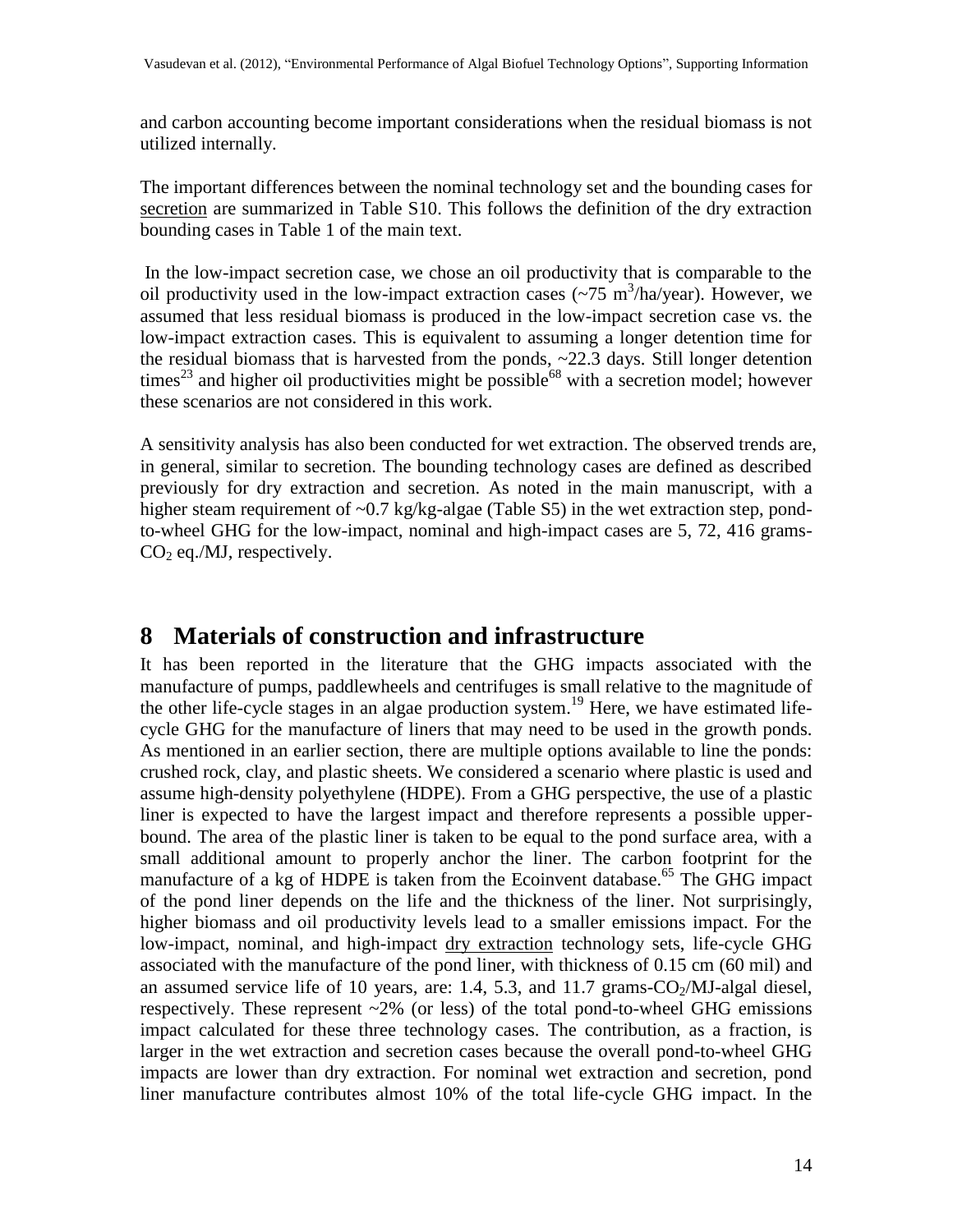and carbon accounting become important considerations when the residual biomass is not utilized internally.

The important differences between the nominal technology set and the bounding cases for secretion are summarized in Table S10. This follows the definition of the dry extraction bounding cases in Table 1 of the main text.

In the low-impact secretion case, we chose an oil productivity that is comparable to the oil productivity used in the low-impact extraction cases  $(\sim 75 \text{ m}^3/\text{ha/year})$ . However, we assumed that less residual biomass is produced in the low-impact secretion case vs. the low-impact extraction cases. This is equivalent to assuming a longer detention time for the residual biomass that is harvested from the ponds, ~22.3 days. Still longer detention times<sup>[23](#page-17-7)</sup> and higher oil productivities might be possible<sup>[68](#page-19-5)</sup> with a secretion model; however these scenarios are not considered in this work.

A sensitivity analysis has also been conducted for wet extraction. The observed trends are, in general, similar to secretion. The bounding technology cases are defined as described previously for dry extraction and secretion. As noted in the main manuscript, with a higher steam requirement of ~0.7 kg/kg-algae (Table S5) in the wet extraction step, pondto-wheel GHG for the low-impact, nominal and high-impact cases are 5, 72, 416 grams- $CO<sub>2</sub>$  eq./MJ, respectively.

### **8 Materials of construction and infrastructure**

It has been reported in the literature that the GHG impacts associated with the manufacture of pumps, paddlewheels and centrifuges is small relative to the magnitude of the other life-cycle stages in an algae production system. [19](#page-17-8) Here, we have estimated lifecycle GHG for the manufacture of liners that may need to be used in the growth ponds. As mentioned in an earlier section, there are multiple options available to line the ponds: crushed rock, clay, and plastic sheets. We considered a scenario where plastic is used and assume high-density polyethylene (HDPE). From a GHG perspective, the use of a plastic liner is expected to have the largest impact and therefore represents a possible upperbound. The area of the plastic liner is taken to be equal to the pond surface area, with a small additional amount to properly anchor the liner. The carbon footprint for the manufacture of a kg of HDPE is taken from the Ecoinvent database.<sup>[65](#page-19-4)</sup> The GHG impact of the pond liner depends on the life and the thickness of the liner. Not surprisingly, higher biomass and oil productivity levels lead to a smaller emissions impact. For the low-impact, nominal, and high-impact dry extraction technology sets, life-cycle GHG associated with the manufacture of the pond liner, with thickness of 0.15 cm (60 mil) and an assumed service life of 10 years, are: 1.4, 5.3, and 11.7 grams- $CO<sub>2</sub>/MJ$ -algal diesel, respectively. These represent ~2% (or less) of the total pond-to-wheel GHG emissions impact calculated for these three technology cases. The contribution, as a fraction, is larger in the wet extraction and secretion cases because the overall pond-to-wheel GHG impacts are lower than dry extraction. For nominal wet extraction and secretion, pond liner manufacture contributes almost 10% of the total life-cycle GHG impact. In the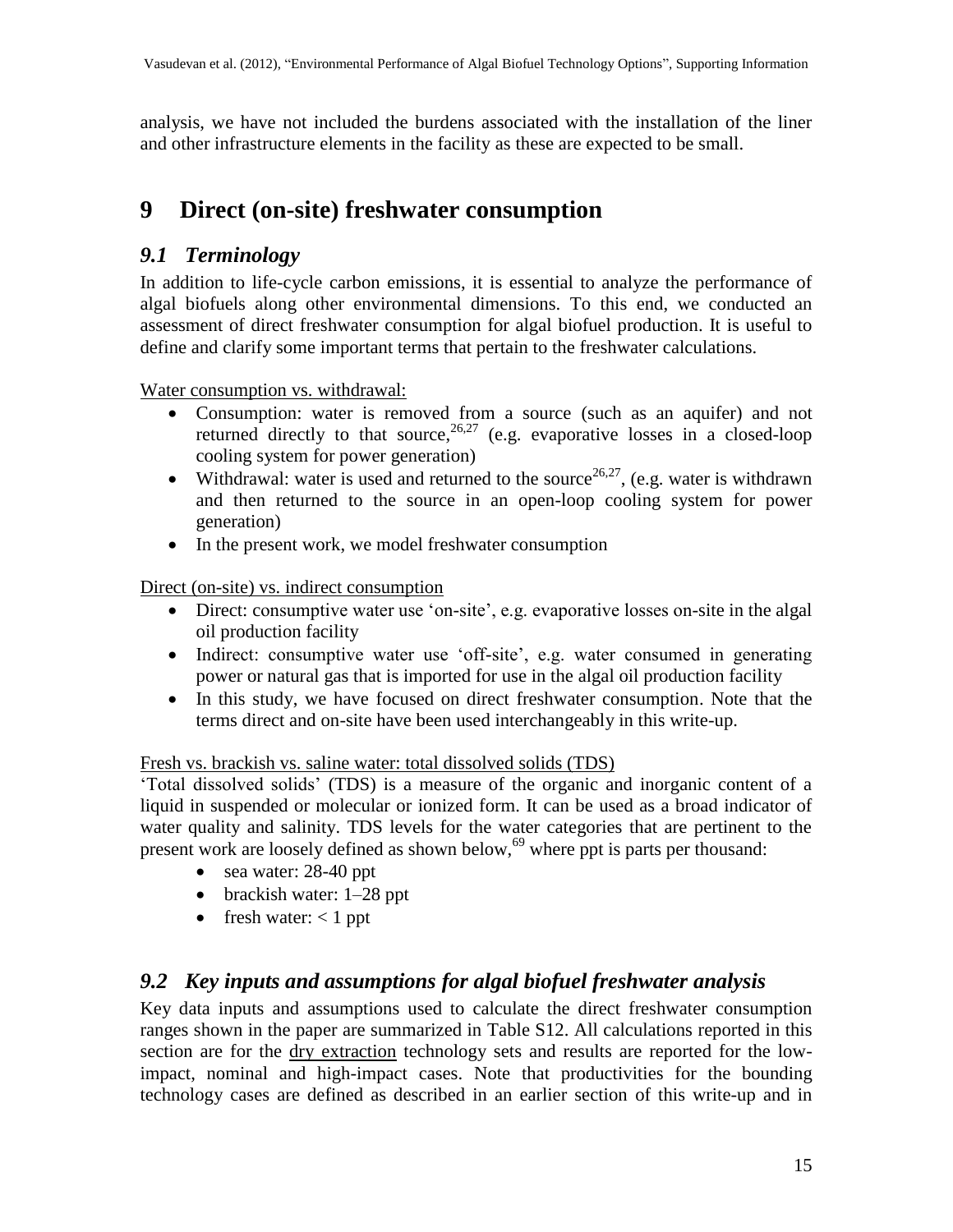analysis, we have not included the burdens associated with the installation of the liner and other infrastructure elements in the facility as these are expected to be small.

## **9 Direct (on-site) freshwater consumption**

#### *9.1 Terminology*

In addition to life-cycle carbon emissions, it is essential to analyze the performance of algal biofuels along other environmental dimensions. To this end, we conducted an assessment of direct freshwater consumption for algal biofuel production. It is useful to define and clarify some important terms that pertain to the freshwater calculations.

Water consumption vs. withdrawal:

- Consumption: water is removed from a source (such as an aquifer) and not returned directly to that source,  $26,27$  $26,27$  (e.g. evaporative losses in a closed-loop cooling system for power generation)
- Withdrawal: water is used and returned to the source<sup>[26,](#page-17-4)[27](#page-17-9)</sup>, (e.g. water is withdrawn and then returned to the source in an open-loop cooling system for power generation)
- In the present work, we model freshwater consumption

Direct (on-site) vs. indirect consumption

- Direct: consumptive water use 'on-site', e.g. evaporative losses on-site in the algal oil production facility
- Indirect: consumptive water use 'off-site', e.g. water consumed in generating power or natural gas that is imported for use in the algal oil production facility
- In this study, we have focused on direct freshwater consumption. Note that the terms direct and on-site have been used interchangeably in this write-up.

#### Fresh vs. brackish vs. saline water: total dissolved solids (TDS)

"Total dissolved solids" (TDS) is a measure of the organic and inorganic content of a liquid in suspended or molecular or ionized form. It can be used as a broad indicator of water quality and salinity. TDS levels for the water categories that are pertinent to the present work are loosely defined as shown below,<sup>[69](#page-19-6)</sup> where ppt is parts per thousand:

- sea water: 28-40 ppt
- brackish water: 1–28 ppt
- fresh water:  $< 1$  ppt

### *9.2 Key inputs and assumptions for algal biofuel freshwater analysis*

Key data inputs and assumptions used to calculate the direct freshwater consumption ranges shown in the paper are summarized in Table S12. All calculations reported in this section are for the dry extraction technology sets and results are reported for the lowimpact, nominal and high-impact cases. Note that productivities for the bounding technology cases are defined as described in an earlier section of this write-up and in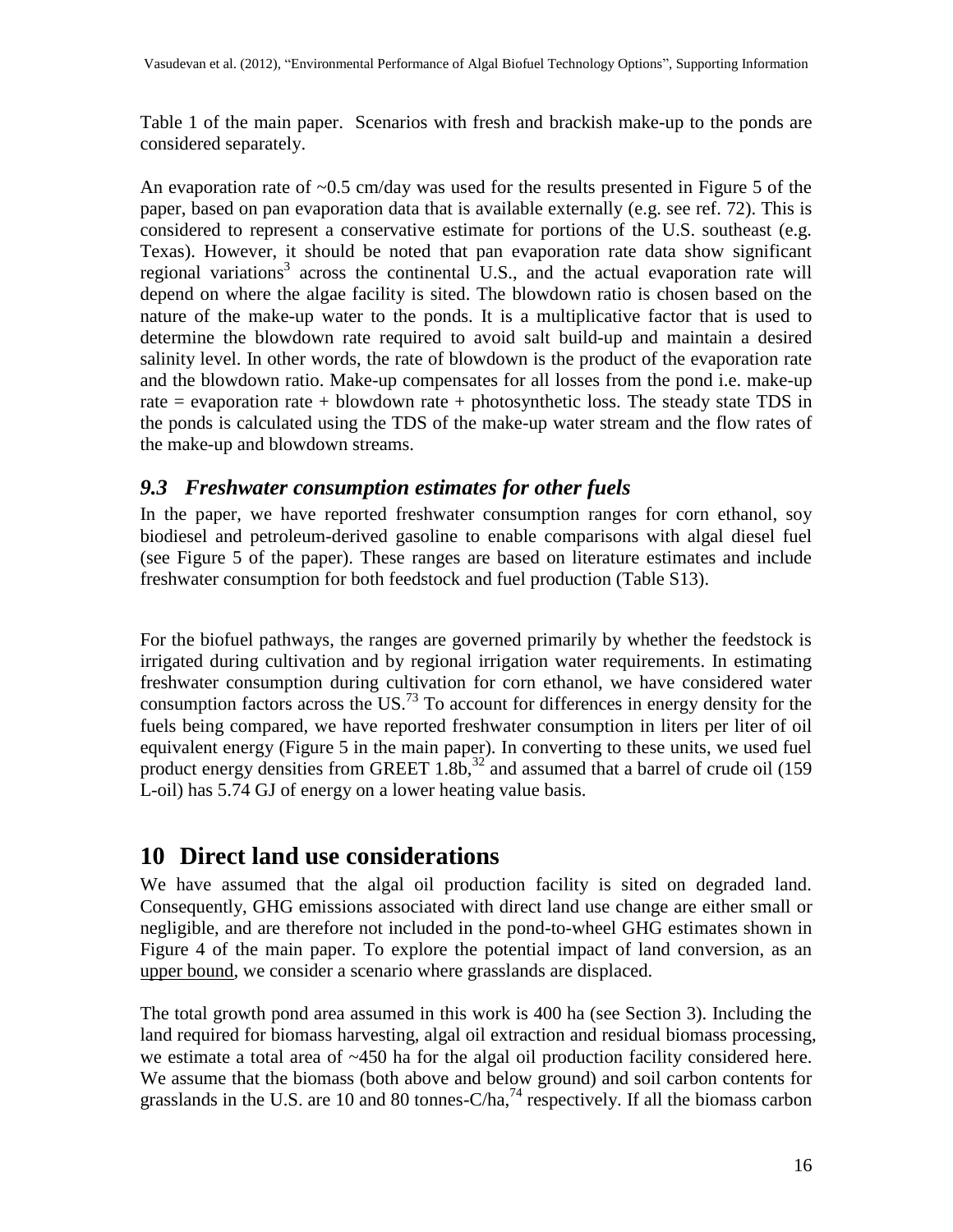Table 1 of the main paper. Scenarios with fresh and brackish make-up to the ponds are considered separately.

An evaporation rate of  $\sim 0.5$  cm/day was used for the results presented in Figure 5 of the paper, based on pan evaporation data that is available externally (e.g. see ref. [72\)](#page-20-0). This is considered to represent a conservative estimate for portions of the U.S. southeast (e.g. Texas). However, it should be noted that pan evaporation rate data show significant regional variation[s](#page-16-3)<sup>3</sup> across the continental U.S., and the actual evaporation rate will depend on where the algae facility is sited. The blowdown ratio is chosen based on the nature of the make-up water to the ponds. It is a multiplicative factor that is used to determine the blowdown rate required to avoid salt build-up and maintain a desired salinity level. In other words, the rate of blowdown is the product of the evaporation rate and the blowdown ratio. Make-up compensates for all losses from the pond i.e. make-up rate  $=$  evaporation rate  $+$  blowdown rate  $+$  photosynthetic loss. The steady state TDS in the ponds is calculated using the TDS of the make-up water stream and the flow rates of the make-up and blowdown streams.

#### *9.3 Freshwater consumption estimates for other fuels*

In the paper, we have reported freshwater consumption ranges for corn ethanol, soy biodiesel and petroleum-derived gasoline to enable comparisons with algal diesel fuel (see Figure 5 of the paper). These ranges are based on literature estimates and include freshwater consumption for both feedstock and fuel production (Table S13).

For the biofuel pathways, the ranges are governed primarily by whether the feedstock is irrigated during cultivation and by regional irrigation water requirements. In estimating freshwater consumption during cultivation for corn ethanol, we have considered water consumption factors across the US.<sup>[73](#page-20-1)</sup> To account for differences in energy density for the fuels being compared, we have reported freshwater consumption in liters per liter of oil equivalent energy (Figure 5 in the main paper). In converting to these units, we used fuel product energy densities from GREET 1.8b,  $32^{2}$  $32^{2}$  and assumed that a barrel of crude oil (159) L-oil) has 5.74 GJ of energy on a lower heating value basis.

# **10 Direct land use considerations**

We have assumed that the algal oil production facility is sited on degraded land. Consequently, GHG emissions associated with direct land use change are either small or negligible, and are therefore not included in the pond-to-wheel GHG estimates shown in Figure 4 of the main paper. To explore the potential impact of land conversion, as an upper bound, we consider a scenario where grasslands are displaced.

The total growth pond area assumed in this work is 400 ha (see Section 3). Including the land required for biomass harvesting, algal oil extraction and residual biomass processing, we estimate a total area of ~450 ha for the algal oil production facility considered here. We assume that the biomass (both above and below ground) and soil carbon contents for grasslands in the U.S. are 10 and 80 tonnes-C/ha,  $^{74}$  $^{74}$  $^{74}$  respectively. If all the biomass carbon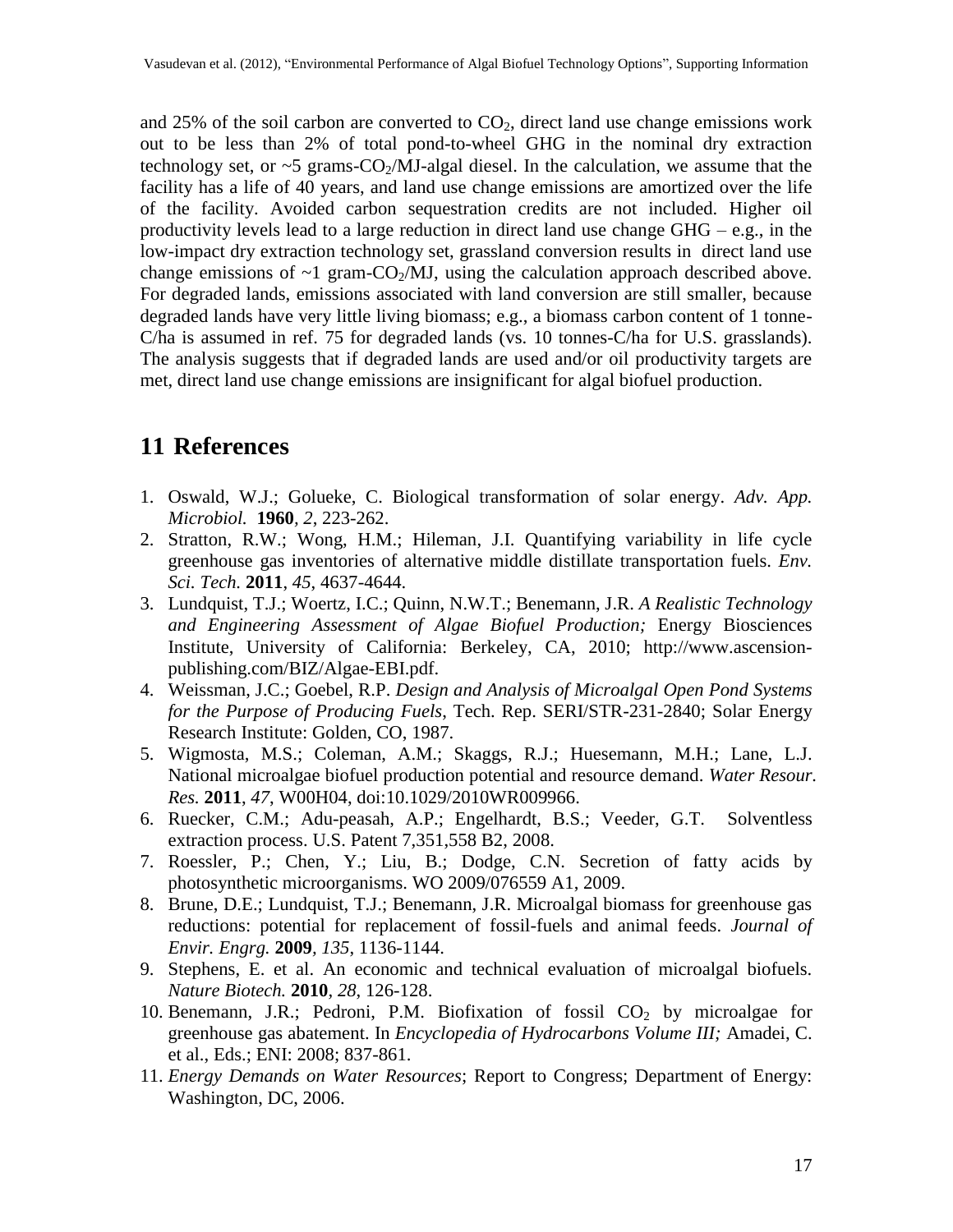and 25% of the soil carbon are converted to  $CO<sub>2</sub>$ , direct land use change emissions work out to be less than 2% of total pond-to-wheel GHG in the nominal dry extraction technology set, or  $\sim$  5 grams-CO<sub>2</sub>/MJ-algal diesel. In the calculation, we assume that the facility has a life of 40 years, and land use change emissions are amortized over the life of the facility. Avoided carbon sequestration credits are not included. Higher oil productivity levels lead to a large reduction in direct land use change  $GHG - e.g.,$  in the low-impact dry extraction technology set, grassland conversion results in direct land use change emissions of  $\sim$ 1 gram-CO<sub>2</sub>/MJ, using the calculation approach described above. For degraded lands, emissions associated with land conversion are still smaller, because degraded lands have very little living biomass; e.g., a biomass carbon content of 1 tonne-C/ha is assumed in ref. [75](#page-20-3) for degraded lands (vs. 10 tonnes-C/ha for U.S. grasslands). The analysis suggests that if degraded lands are used and/or oil productivity targets are met, direct land use change emissions are insignificant for algal biofuel production.

## **11 References**

- <span id="page-16-0"></span>1. Oswald, W.J.; Golueke, C. Biological transformation of solar energy. *Adv. App. Microbiol.* **1960***, 2*, 223-262.
- <span id="page-16-1"></span>2. Stratton, R.W.; Wong, H.M.; Hileman, J.I. Quantifying variability in life cycle greenhouse gas inventories of alternative middle distillate transportation fuels. *Env. Sci. Tech.* **2011**, *45*, 4637-4644.
- <span id="page-16-3"></span>3. Lundquist, T.J.; Woertz, I.C.; Quinn, N.W.T.; Benemann, J.R. *A Realistic Technology and Engineering Assessment of Algae Biofuel Production;* Energy Biosciences Institute, University of California: Berkeley, CA, 2010; http://www.ascensionpublishing.com/BIZ/Algae-EBI.pdf.
- <span id="page-16-4"></span>4. Weissman, J.C.; Goebel, R.P. *Design and Analysis of Microalgal Open Pond Systems for the Purpose of Producing Fuels*, Tech. Rep. SERI/STR-231-2840; Solar Energy Research Institute: Golden, CO, 1987.
- 5. Wigmosta, M.S.; Coleman, A.M.; Skaggs, R.J.; Huesemann, M.H.; Lane, L.J. National microalgae biofuel production potential and resource demand. *Water Resour. Res.* **2011**, *47*, W00H04, doi:10.1029/2010WR009966.
- <span id="page-16-5"></span>6. Ruecker, C.M.; Adu-peasah, A.P.; Engelhardt, B.S.; Veeder, G.T. Solventless extraction process. U.S. Patent 7,351,558 B2, 2008.
- <span id="page-16-6"></span>7. Roessler, P.; Chen, Y.; Liu, B.; Dodge, C.N. Secretion of fatty acids by photosynthetic microorganisms. WO 2009/076559 A1, 2009.
- <span id="page-16-2"></span>8. Brune, D.E.; Lundquist, T.J.; Benemann, J.R. Microalgal biomass for greenhouse gas reductions: potential for replacement of fossil-fuels and animal feeds. *Journal of Envir. Engrg.* **2009***, 135*, 1136-1144.
- <span id="page-16-7"></span>9. Stephens, E. et al. An economic and technical evaluation of microalgal biofuels. *Nature Biotech.* **2010***, 28*, 126-128.
- 10. Benemann, J.R.; Pedroni, P.M. Biofixation of fossil  $CO<sub>2</sub>$  by microalgae for greenhouse gas abatement. In *Encyclopedia of Hydrocarbons Volume III;* Amadei, C. et al., Eds.; ENI: 2008; 837-861.
- <span id="page-16-8"></span>11. *Energy Demands on Water Resources*; Report to Congress; Department of Energy: Washington, DC, 2006.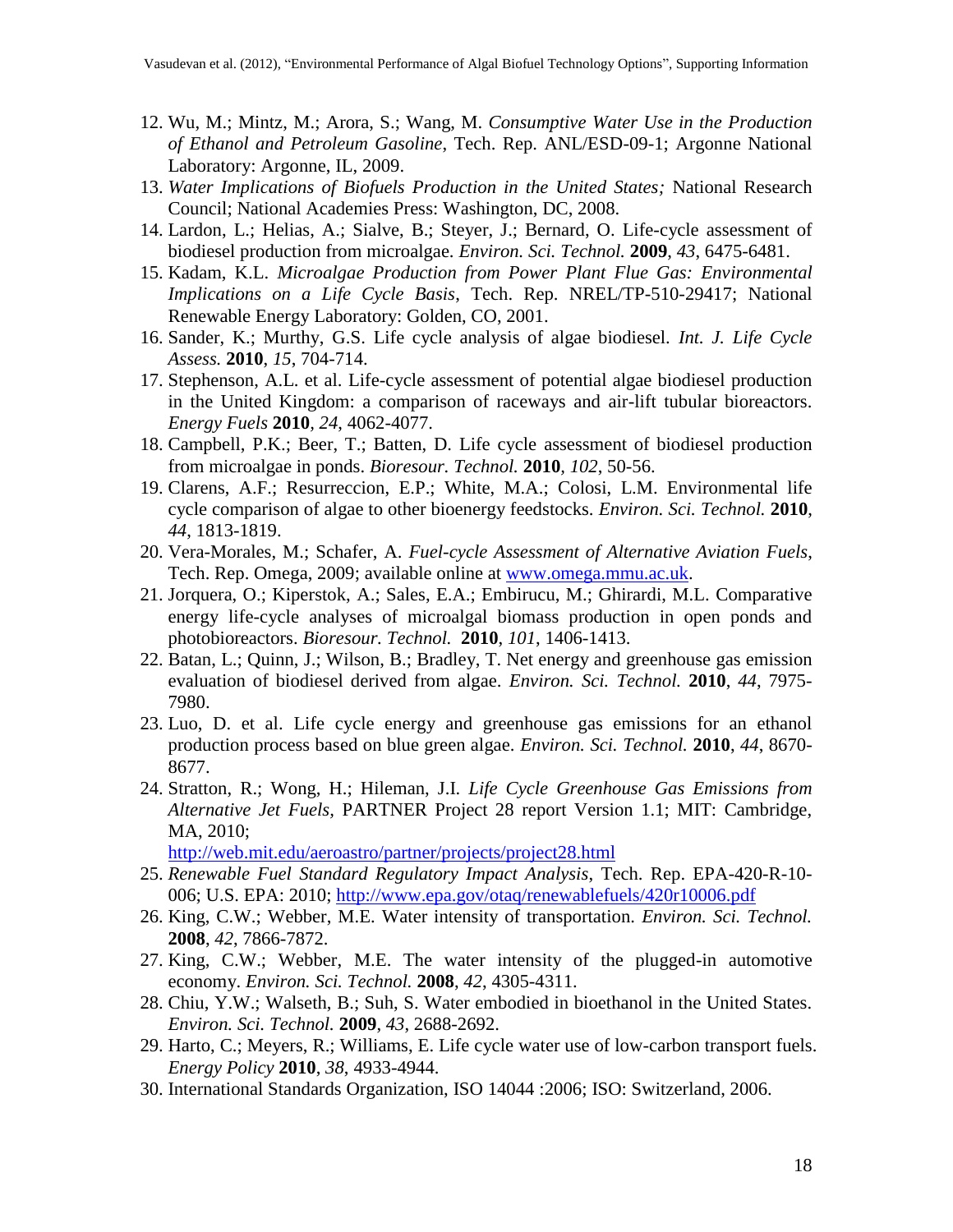- <span id="page-17-3"></span>12. Wu, M.; Mintz, M.; Arora, S.; Wang, M. *Consumptive Water Use in the Production of Ethanol and Petroleum Gasoline*, Tech. Rep. ANL/ESD-09-1; Argonne National Laboratory: Argonne, IL, 2009.
- <span id="page-17-10"></span>13. *Water Implications of Biofuels Production in the United States;* National Research Council; National Academies Press: Washington, DC, 2008.
- <span id="page-17-0"></span>14. Lardon, L.; Helias, A.; Sialve, B.; Steyer, J.; Bernard, O. Life-cycle assessment of biodiesel production from microalgae. *Environ. Sci. Technol.* **2009**, *43*, 6475-6481.
- 15. Kadam, K.L. *Microalgae Production from Power Plant Flue Gas: Environmental Implications on a Life Cycle Basis*, Tech. Rep. NREL/TP-510-29417; National Renewable Energy Laboratory: Golden, CO, 2001.
- 16. Sander, K.; Murthy, G.S. Life cycle analysis of algae biodiesel. *Int. J. Life Cycle Assess.* **2010**, *15*, 704-714.
- 17. Stephenson, A.L. et al. Life-cycle assessment of potential algae biodiesel production in the United Kingdom: a comparison of raceways and air-lift tubular bioreactors. *Energy Fuels* **2010***, 24*, 4062-4077.
- 18. Campbell, P.K.; Beer, T.; Batten, D. Life cycle assessment of biodiesel production from microalgae in ponds. *Bioresour. Technol.* **2010***, 102*, 50-56.
- <span id="page-17-8"></span>19. Clarens, A.F.; Resurreccion, E.P.; White, M.A.; Colosi, L.M. Environmental life cycle comparison of algae to other bioenergy feedstocks. *Environ. Sci. Technol.* **2010**, *44*, 1813-1819.
- 20. Vera-Morales, M.; Schafer, A. *Fuel-cycle Assessment of Alternative Aviation Fuels*, Tech. Rep. Omega, 2009; available online at [www.omega.mmu.ac.uk.](http://www.omega.mmu.ac.uk/)
- 21. Jorquera, O.; Kiperstok, A.; Sales, E.A.; Embirucu, M.; Ghirardi, M.L. Comparative energy life-cycle analyses of microalgal biomass production in open ponds and photobioreactors. *Bioresour. Technol.* **2010**, *101*, 1406-1413.
- 22. Batan, L.; Quinn, J.; Wilson, B.; Bradley, T. Net energy and greenhouse gas emission evaluation of biodiesel derived from algae. *Environ. Sci. Technol.* **2010**, *44*, 7975- 7980.
- <span id="page-17-7"></span>23. Luo, D. et al. Life cycle energy and greenhouse gas emissions for an ethanol production process based on blue green algae. *Environ. Sci. Technol.* **2010**, *44*, 8670- 8677.
- <span id="page-17-1"></span>24. Stratton, R.; Wong, H.; Hileman, J.I. *Life Cycle Greenhouse Gas Emissions from Alternative Jet Fuels,* PARTNER Project 28 report Version 1.1; MIT: Cambridge, MA, 2010;

<http://web.mit.edu/aeroastro/partner/projects/project28.html>

- <span id="page-17-2"></span>25. *Renewable Fuel Standard Regulatory Impact Analysis*, Tech. Rep. EPA-420-R-10- 006; U.S. EPA: 2010;<http://www.epa.gov/otaq/renewablefuels/420r10006.pdf>
- <span id="page-17-4"></span>26. King, C.W.; Webber, M.E. Water intensity of transportation. *Environ. Sci. Technol.* **2008**, *42*, 7866-7872.
- <span id="page-17-9"></span>27. King, C.W.; Webber, M.E. The water intensity of the plugged-in automotive economy. *Environ. Sci. Technol.* **2008**, *42*, 4305-4311.
- 28. Chiu, Y.W.; Walseth, B.; Suh, S. Water embodied in bioethanol in the United States. *Environ. Sci. Technol.* **2009**, *43*, 2688-2692.
- <span id="page-17-5"></span>29. Harto, C.; Meyers, R.; Williams, E. Life cycle water use of low-carbon transport fuels. *Energy Policy* **2010**, *38*, 4933-4944.
- <span id="page-17-6"></span>30. International Standards Organization, ISO 14044 :2006; ISO: Switzerland, 2006.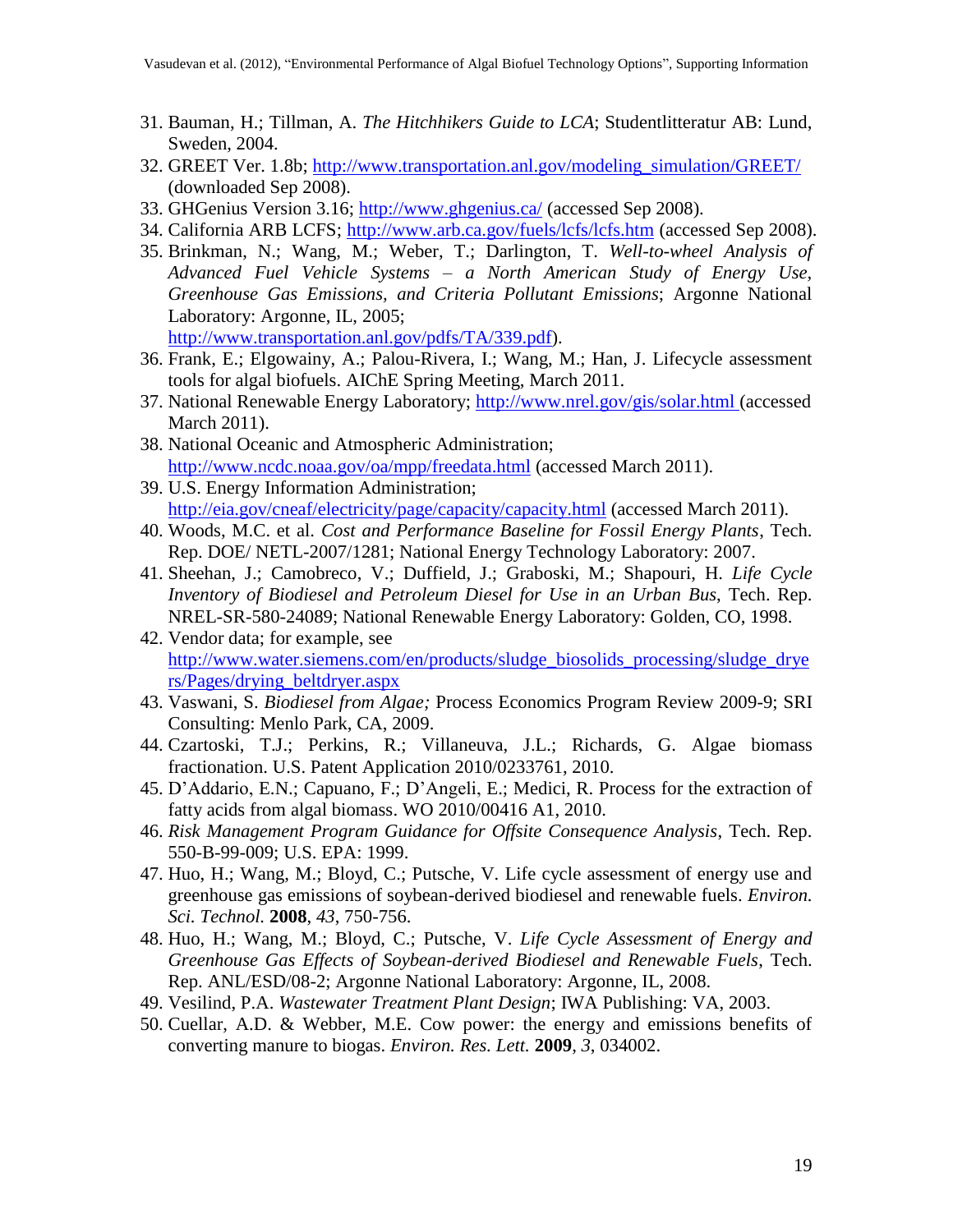- <span id="page-18-0"></span>31. Bauman, H.; Tillman, A. *The Hitchhikers Guide to LCA*; Studentlitteratur AB: Lund, Sweden, 2004.
- <span id="page-18-1"></span>32. GREET Ver. 1.8b; [http://www.transportation.anl.gov/modeling\\_simulation/GREET/](http://www.transportation.anl.gov/modeling_simulation/GREET/) (downloaded Sep 2008).
- <span id="page-18-2"></span>33. GHGenius Version 3.16; <http://www.ghgenius.ca/> (accessed Sep 2008).
- <span id="page-18-3"></span>34. California ARB LCFS; <http://www.arb.ca.gov/fuels/lcfs/lcfs.htm> (accessed Sep 2008).
- <span id="page-18-4"></span>35. Brinkman, N.; Wang, M.; Weber, T.; Darlington, T. *Well-to-wheel Analysis of Advanced Fuel Vehicle Systems – a North American Study of Energy Use, Greenhouse Gas Emissions, and Criteria Pollutant Emissions*; Argonne National Laboratory: Argonne, IL, 2005; [http://www.transportation.anl.gov/pdfs/TA/339.pdf\)](http://www.transportation.anl.gov/pdfs/TA/339.pdf).
- <span id="page-18-5"></span>36. Frank, E.; Elgowainy, A.; Palou-Rivera, I.; Wang, M.; Han, J. Lifecycle assessment tools for algal biofuels. AIChE Spring Meeting, March 2011.
- <span id="page-18-6"></span>37. National Renewable Energy Laboratory; <http://www.nrel.gov/gis/solar.html> (accessed March 2011).
- <span id="page-18-7"></span>38. National Oceanic and Atmospheric Administration; <http://www.ncdc.noaa.gov/oa/mpp/freedata.html> (accessed March 2011).
- <span id="page-18-8"></span>39. U.S. Energy Information Administration; <http://eia.gov/cneaf/electricity/page/capacity/capacity.html> (accessed March 2011).
- <span id="page-18-9"></span>40. Woods, M.C. et al. *Cost and Performance Baseline for Fossil Energy Plants*, Tech. Rep. DOE/ NETL-2007/1281; National Energy Technology Laboratory: 2007.
- <span id="page-18-10"></span>41. Sheehan, J.; Camobreco, V.; Duffield, J.; Graboski, M.; Shapouri, H. *Life Cycle Inventory of Biodiesel and Petroleum Diesel for Use in an Urban Bus*, Tech. Rep. NREL-SR-580-24089; National Renewable Energy Laboratory: Golden, CO, 1998.
- <span id="page-18-11"></span>42. Vendor data; for example, see [http://www.water.siemens.com/en/products/sludge\\_biosolids\\_processing/sludge\\_drye](http://www.water.siemens.com/en/products/sludge_biosolids_processing/sludge_dryers/Pages/drying_beltdryer.aspx) [rs/Pages/drying\\_beltdryer.aspx](http://www.water.siemens.com/en/products/sludge_biosolids_processing/sludge_dryers/Pages/drying_beltdryer.aspx)
- <span id="page-18-12"></span>43. Vaswani, S. *Biodiesel from Algae;* Process Economics Program Review 2009-9; SRI Consulting: Menlo Park, CA, 2009.
- 44. Czartoski, T.J.; Perkins, R.; Villaneuva, J.L.; Richards, G. Algae biomass fractionation. U.S. Patent Application 2010/0233761, 2010.
- <span id="page-18-13"></span>45. D"Addario, E.N.; Capuano, F.; D"Angeli, E.; Medici, R. Process for the extraction of fatty acids from algal biomass. WO 2010/00416 A1, 2010.
- <span id="page-18-14"></span>46. *Risk Management Program Guidance for Offsite Consequence Analysis*, Tech. Rep. 550-B-99-009; U.S. EPA: 1999.
- <span id="page-18-15"></span>47. Huo, H.; Wang, M.; Bloyd, C.; Putsche, V. Life cycle assessment of energy use and greenhouse gas emissions of soybean-derived biodiesel and renewable fuels. *Environ. Sci. Technol.* **2008**, *43*, 750-756.
- <span id="page-18-16"></span>48. Huo, H.; Wang, M.; Bloyd, C.; Putsche, V. *Life Cycle Assessment of Energy and Greenhouse Gas Effects of Soybean-derived Biodiesel and Renewable Fuels*, Tech. Rep. ANL/ESD/08-2; Argonne National Laboratory: Argonne, IL, 2008.
- <span id="page-18-17"></span>49. Vesilind, P.A. *Wastewater Treatment Plant Design*; IWA Publishing: VA, 2003.
- <span id="page-18-18"></span>50. Cuellar, A.D. & Webber, M.E. Cow power: the energy and emissions benefits of converting manure to biogas. *Environ. Res. Lett.* **2009**, *3*, 034002.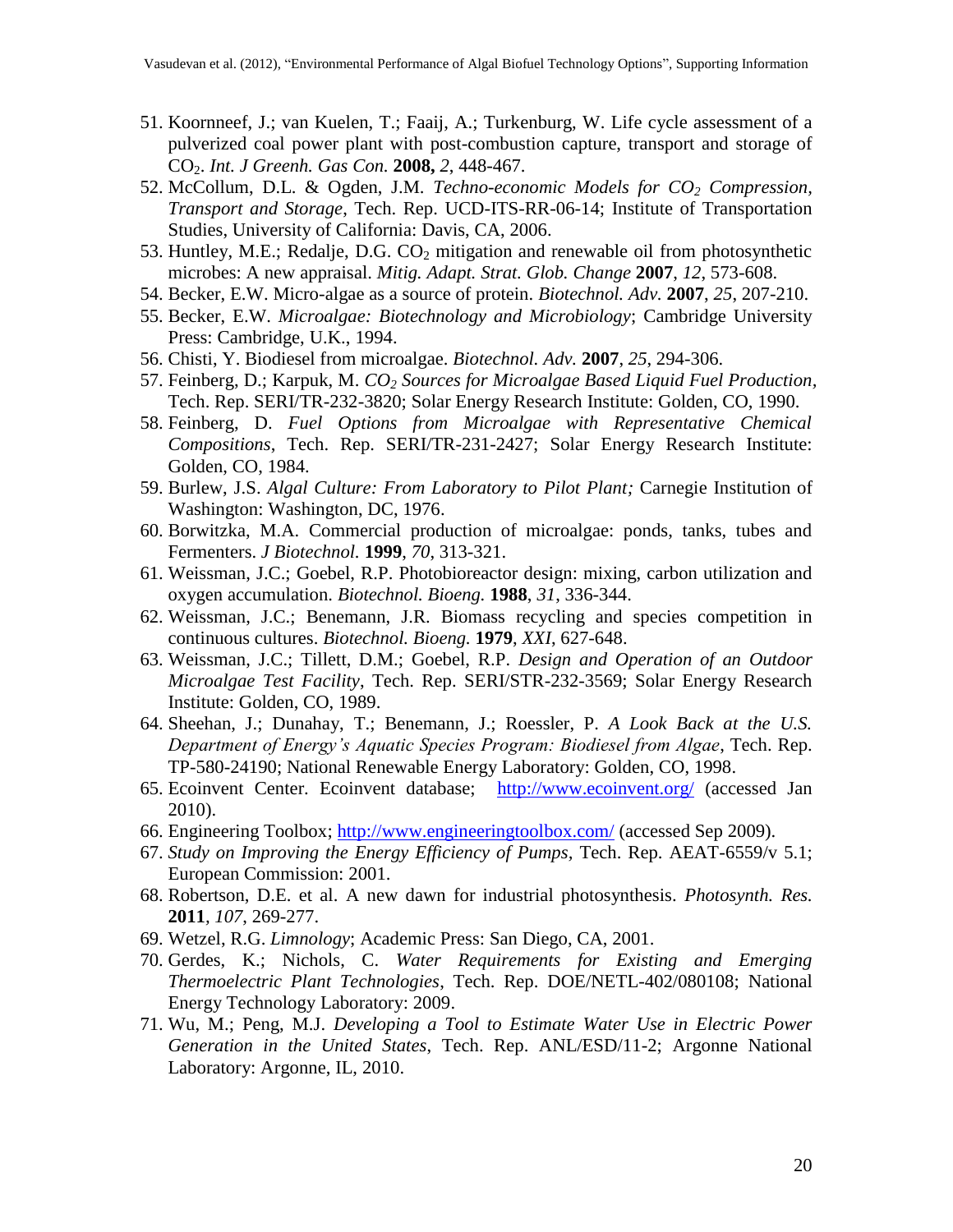- <span id="page-19-0"></span>51. Koornneef, J.; van Kuelen, T.; Faaij, A.; Turkenburg, W. Life cycle assessment of a pulverized coal power plant with post-combustion capture, transport and storage of CO2. *Int. J Greenh. Gas Con.* **2008,** *2*, 448-467.
- <span id="page-19-1"></span>52. McCollum, D.L. & Ogden, J.M. *Techno-economic Models for CO<sup>2</sup> Compression, Transport and Storage*, Tech. Rep. UCD-ITS-RR-06-14; Institute of Transportation Studies, University of California: Davis, CA, 2006.
- <span id="page-19-2"></span>53. Huntley, M.E.; Redalje, D.G.  $CO<sub>2</sub>$  mitigation and renewable oil from photosynthetic microbes: A new appraisal. *Mitig. Adapt. Strat. Glob. Change* **2007**, *12*, 573-608.
- <span id="page-19-7"></span>54. Becker, E.W. Micro-algae as a source of protein. *Biotechnol. Adv.* **2007**, *25*, 207-210.
- 55. Becker, E.W. *Microalgae: Biotechnology and Microbiology*; Cambridge University Press: Cambridge, U.K., 1994.
- 56. Chisti, Y. Biodiesel from microalgae. *Biotechnol. Adv.* **2007**, *25*, 294-306.
- 57. Feinberg, D.; Karpuk, M. *CO<sup>2</sup> Sources for Microalgae Based Liquid Fuel Production,* Tech. Rep. SERI/TR-232-3820; Solar Energy Research Institute: Golden, CO, 1990.
- 58. Feinberg, D. *Fuel Options from Microalgae with Representative Chemical Compositions*, Tech. Rep. SERI/TR-231-2427; Solar Energy Research Institute: Golden, CO, 1984.
- <span id="page-19-3"></span>59. Burlew, J.S. *Algal Culture: From Laboratory to Pilot Plant;* Carnegie Institution of Washington: Washington, DC, 1976.
- <span id="page-19-8"></span>60. Borwitzka, M.A. Commercial production of microalgae: ponds, tanks, tubes and Fermenters. *J Biotechnol.* **1999**, *70*, 313-321.
- 61. Weissman, J.C.; Goebel, R.P. Photobioreactor design: mixing, carbon utilization and oxygen accumulation. *Biotechnol. Bioeng.* **1988**, *31*, 336-344.
- 62. Weissman, J.C.; Benemann, J.R. Biomass recycling and species competition in continuous cultures. *Biotechnol. Bioeng.* **1979**, *XXI*, 627-648.
- 63. Weissman, J.C.; Tillett, D.M.; Goebel, R.P. *Design and Operation of an Outdoor Microalgae Test Facility*, Tech. Rep. SERI/STR-232-3569; Solar Energy Research Institute: Golden, CO, 1989.
- <span id="page-19-9"></span>64. Sheehan, J.; Dunahay, T.; Benemann, J.; Roessler, P. *A Look Back at the U.S. Department of Energy's Aquatic Species Program: Biodiesel from Algae*, Tech. Rep. TP-580-24190; National Renewable Energy Laboratory: Golden, CO, 1998.
- <span id="page-19-4"></span>65. Ecoinvent Center. Ecoinvent database; <http://www.ecoinvent.org/> (accessed Jan 2010).
- <span id="page-19-10"></span>66. Engineering Toolbox; <http://www.engineeringtoolbox.com/> (accessed Sep 2009).
- <span id="page-19-11"></span>67. *Study on Improving the Energy Efficiency of Pumps,* Tech. Rep. AEAT-6559/v 5.1; European Commission: 2001.
- <span id="page-19-5"></span>68. Robertson, D.E. et al. A new dawn for industrial photosynthesis. *Photosynth. Res.* **2011***, 107*, 269-277.
- <span id="page-19-6"></span>69. Wetzel, R.G. *Limnology*; Academic Press: San Diego, CA, 2001.
- <span id="page-19-12"></span>70. Gerdes, K.; Nichols, C. *Water Requirements for Existing and Emerging Thermoelectric Plant Technologies*, Tech. Rep. DOE/NETL-402/080108; National Energy Technology Laboratory: 2009.
- <span id="page-19-13"></span>71. Wu, M.; Peng, M.J. *Developing a Tool to Estimate Water Use in Electric Power Generation in the United States*, Tech. Rep. ANL/ESD/11-2; Argonne National Laboratory: Argonne, IL, 2010.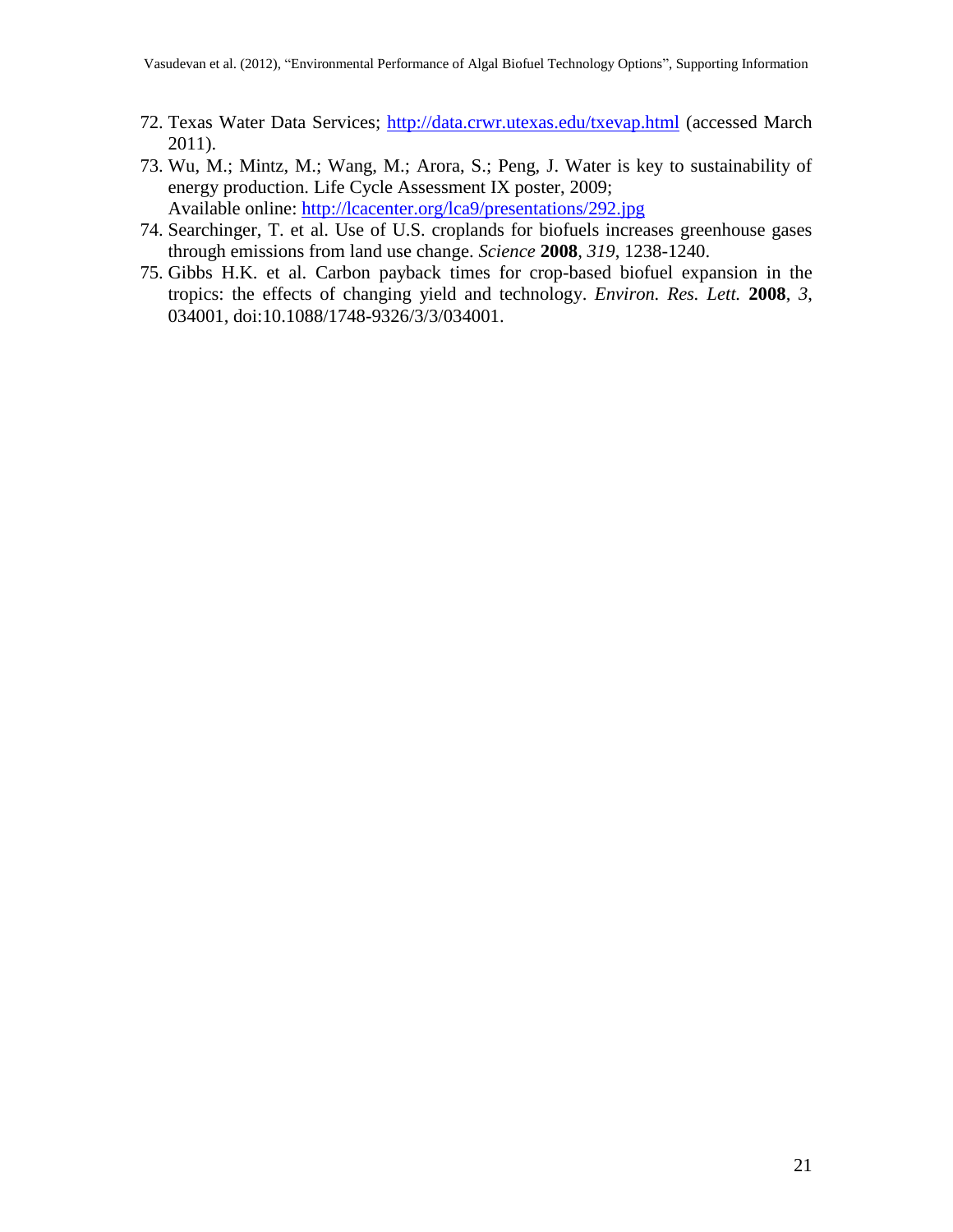- <span id="page-20-0"></span>72. Texas Water Data Services; <http://data.crwr.utexas.edu/txevap.html> (accessed March 2011).
- <span id="page-20-1"></span>73. Wu, M.; Mintz, M.; Wang, M.; Arora, S.; Peng, J. Water is key to sustainability of energy production. Life Cycle Assessment IX poster, 2009; Available online:<http://lcacenter.org/lca9/presentations/292.jpg>
- <span id="page-20-2"></span>74. Searchinger, T. et al. Use of U.S. croplands for biofuels increases greenhouse gases through emissions from land use change. *Science* **2008***, 319*, 1238-1240.
- <span id="page-20-3"></span>75. Gibbs H.K. et al. Carbon payback times for crop-based biofuel expansion in the tropics: the effects of changing yield and technology. *Environ. Res. Lett.* **2008**, *3*, 034001, doi:10.1088/1748-9326/3/3/034001.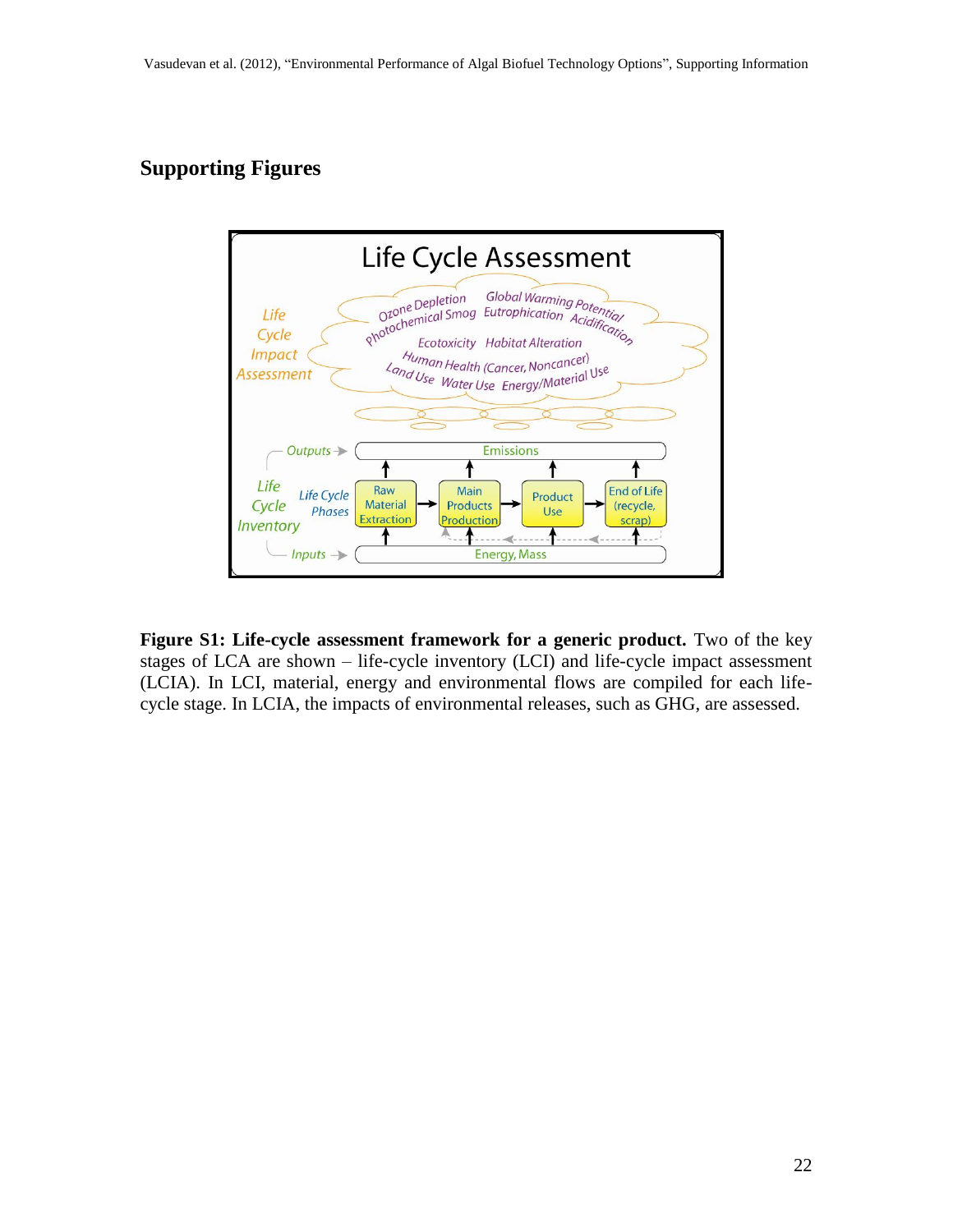### **Supporting Figures**



**Figure S1: Life-cycle assessment framework for a generic product.** Two of the key stages of LCA are shown – life-cycle inventory (LCI) and life-cycle impact assessment (LCIA). In LCI, material, energy and environmental flows are compiled for each lifecycle stage. In LCIA, the impacts of environmental releases, such as GHG, are assessed.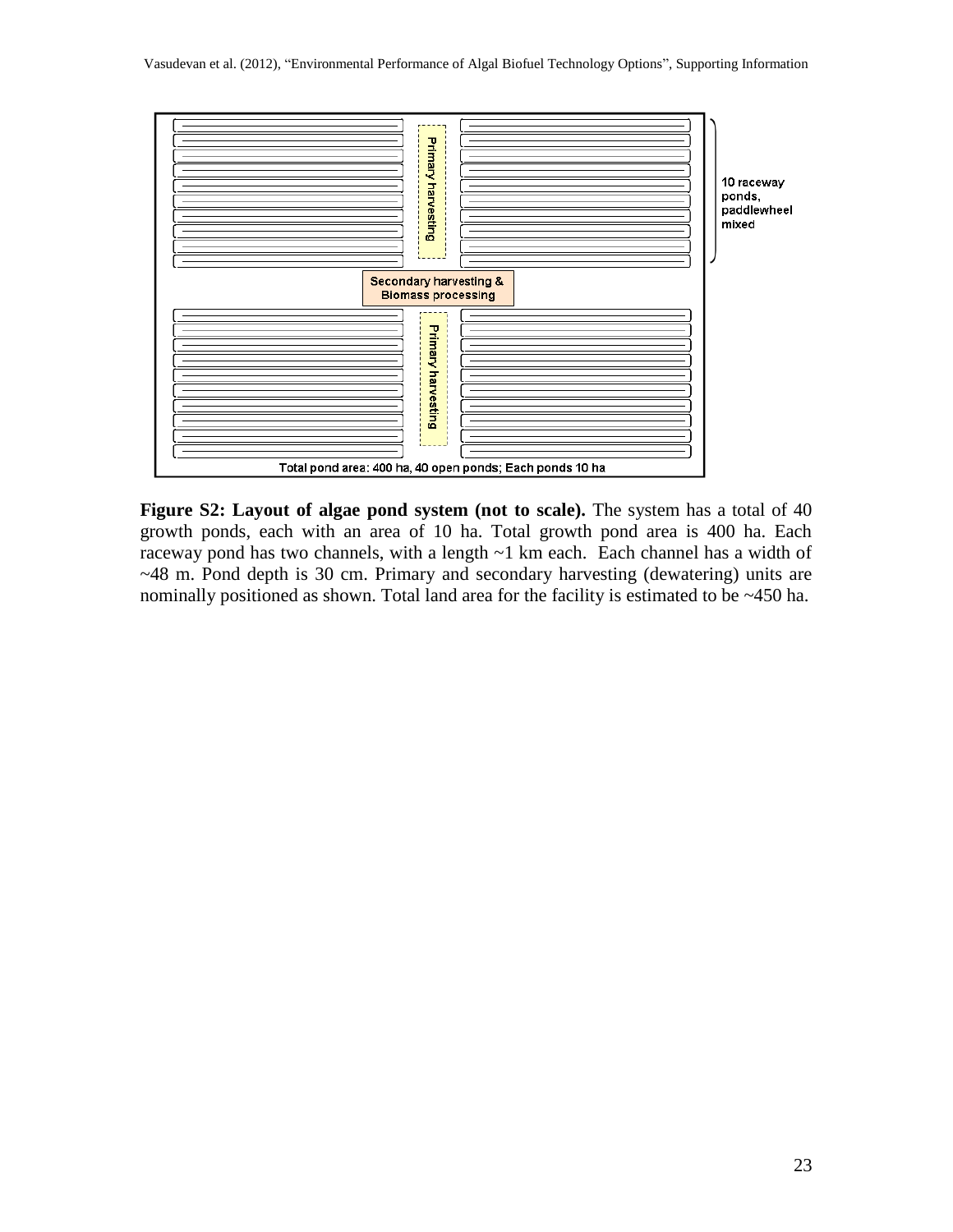

**Figure S2: Layout of algae pond system (not to scale).** The system has a total of 40 growth ponds, each with an area of 10 ha. Total growth pond area is 400 ha. Each raceway pond has two channels, with a length ~1 km each. Each channel has a width of ~48 m. Pond depth is 30 cm. Primary and secondary harvesting (dewatering) units are nominally positioned as shown. Total land area for the facility is estimated to be ~450 ha.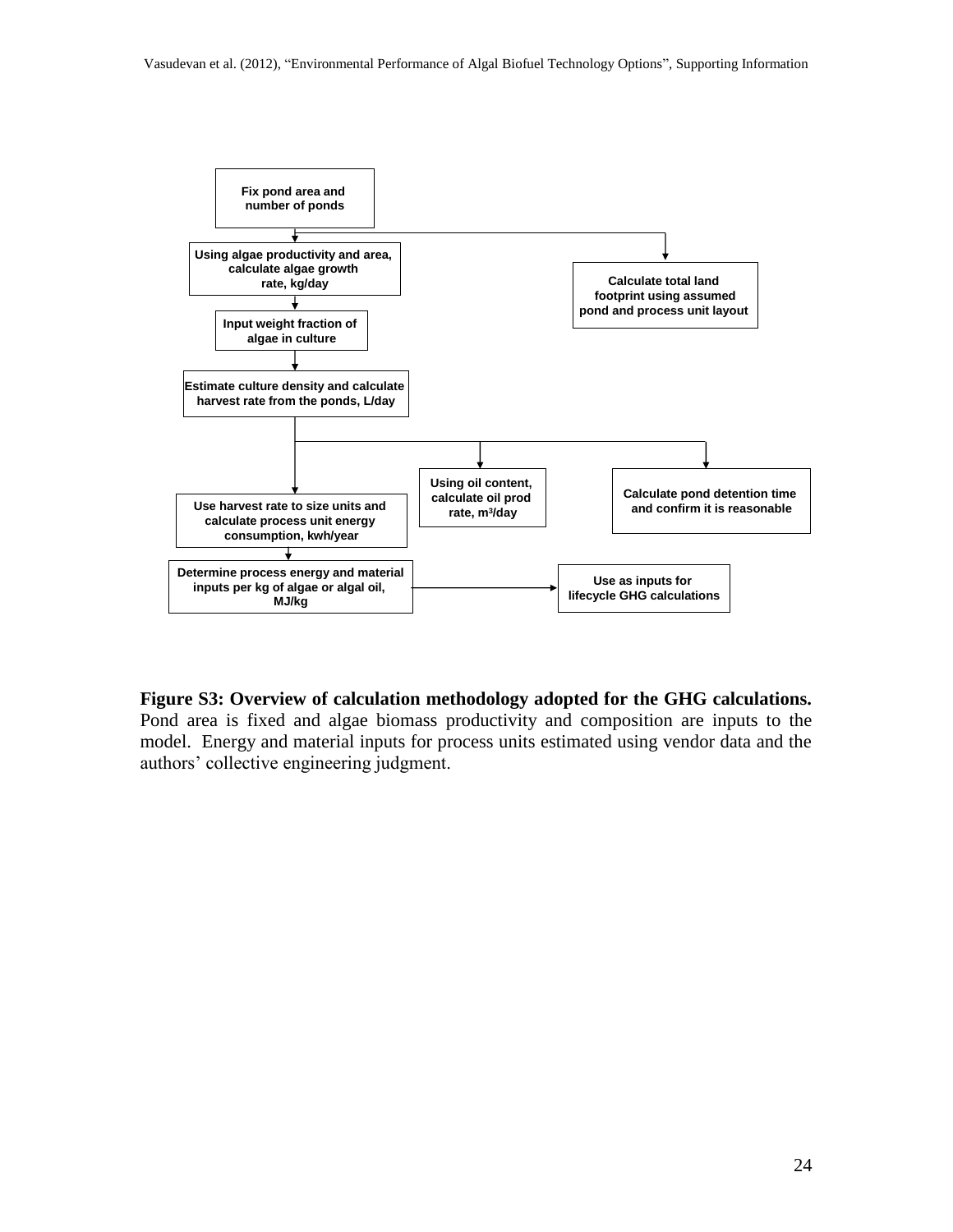

**Figure S3: Overview of calculation methodology adopted for the GHG calculations.**  Pond area is fixed and algae biomass productivity and composition are inputs to the

model. Energy and material inputs for process units estimated using vendor data and the authors" collective engineering judgment.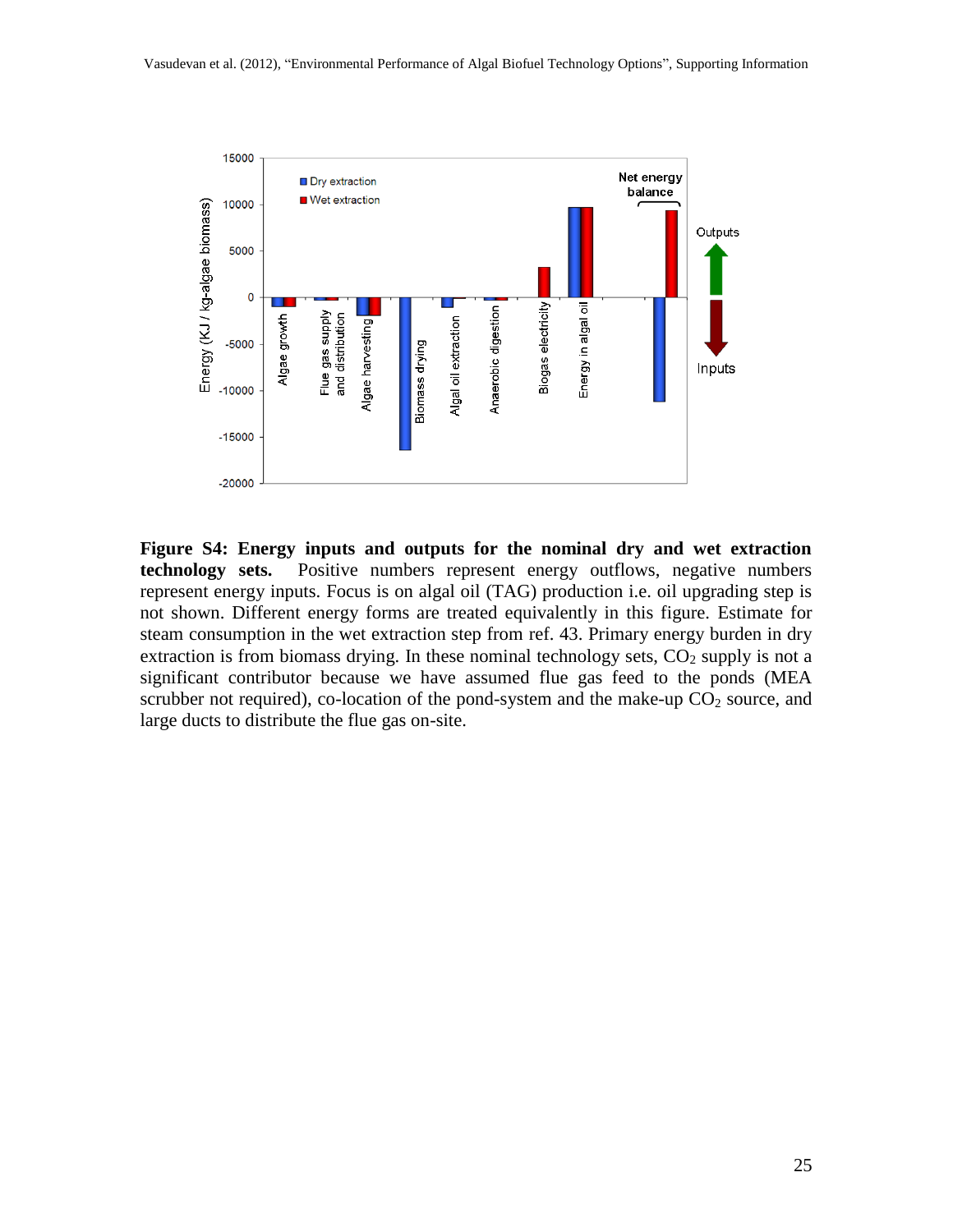

**Figure S4: Energy inputs and outputs for the nominal dry and wet extraction technology sets.** Positive numbers represent energy outflows, negative numbers represent energy inputs. Focus is on algal oil (TAG) production i.e. oil upgrading step is not shown. Different energy forms are treated equivalently in this figure. Estimate for steam consumption in the wet extraction step from ref. [43.](#page-18-12) Primary energy burden in dry extraction is from biomass drying. In these nominal technology sets,  $CO<sub>2</sub>$  supply is not a significant contributor because we have assumed flue gas feed to the ponds (MEA scrubber not required), co-location of the pond-system and the make-up  $CO<sub>2</sub>$  source, and large ducts to distribute the flue gas on-site.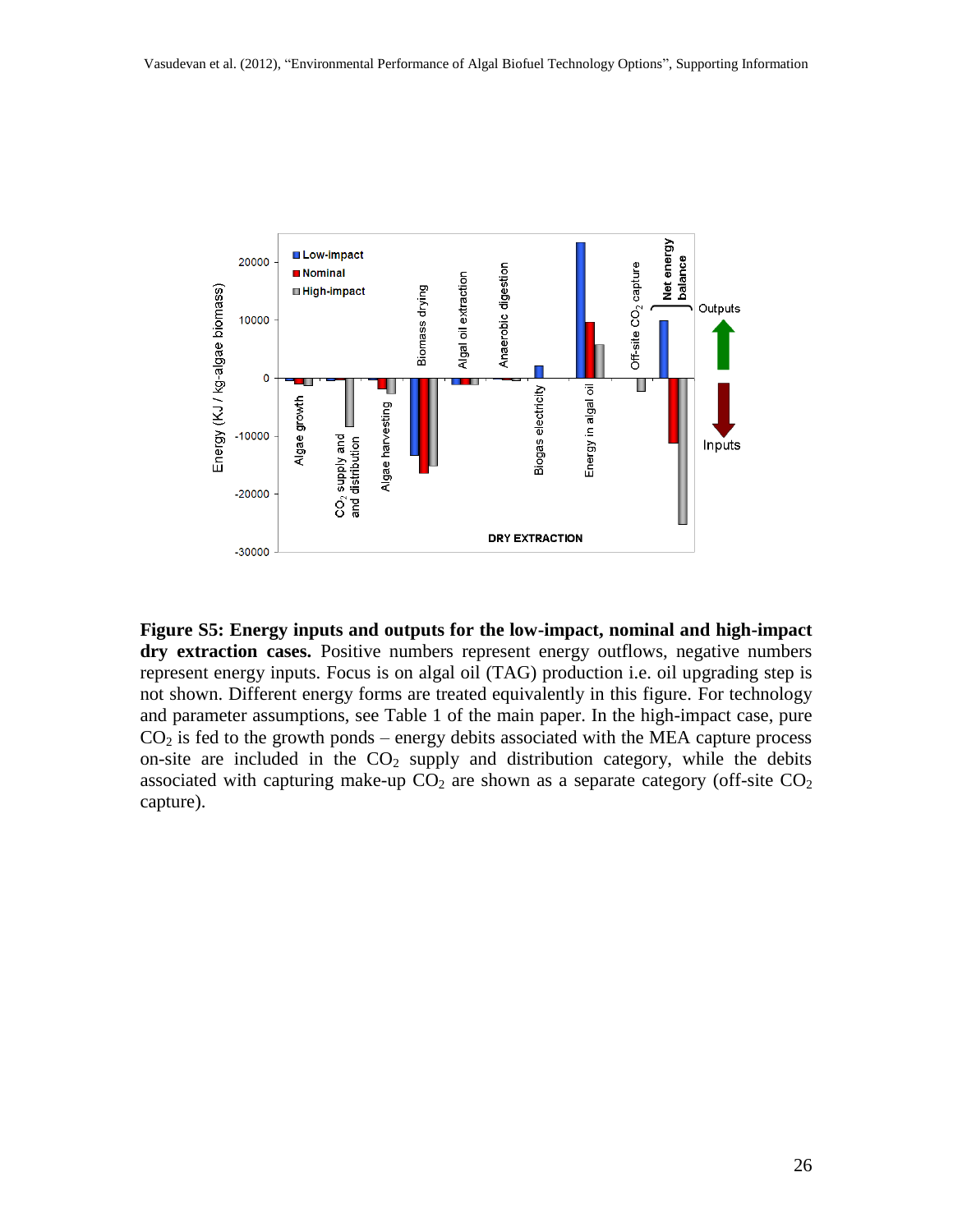

**Figure S5: Energy inputs and outputs for the low-impact, nominal and high-impact dry extraction cases.** Positive numbers represent energy outflows, negative numbers represent energy inputs. Focus is on algal oil (TAG) production i.e. oil upgrading step is not shown. Different energy forms are treated equivalently in this figure. For technology and parameter assumptions, see Table 1 of the main paper. In the high-impact case, pure  $CO<sub>2</sub>$  is fed to the growth ponds – energy debits associated with the MEA capture process on-site are included in the  $CO<sub>2</sub>$  supply and distribution category, while the debits associated with capturing make-up  $CO<sub>2</sub>$  are shown as a separate category (off-site  $CO<sub>2</sub>$ ) capture).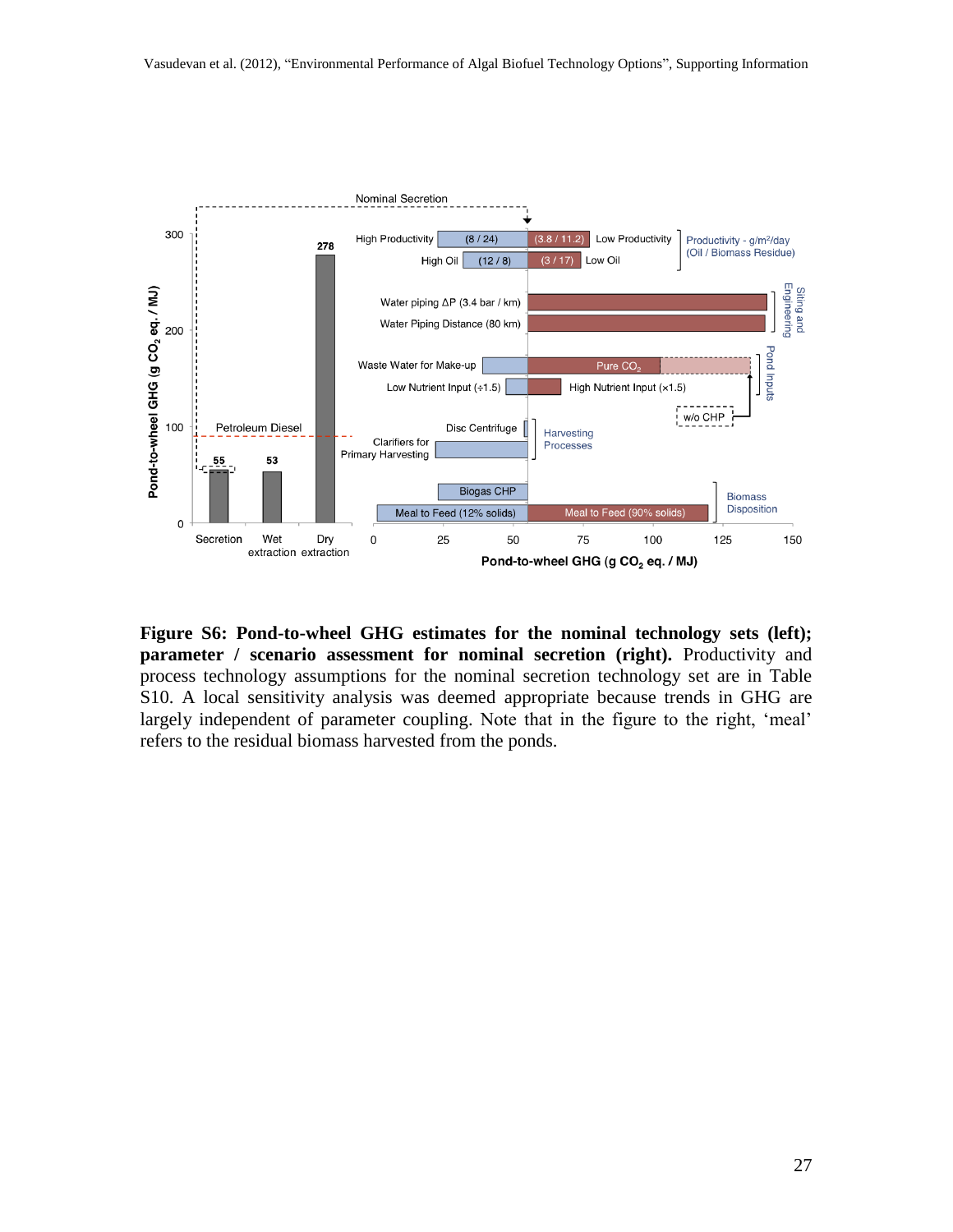

**Figure S6: Pond-to-wheel GHG estimates for the nominal technology sets (left); parameter / scenario assessment for nominal secretion (right).** Productivity and process technology assumptions for the nominal secretion technology set are in Table S10. A local sensitivity analysis was deemed appropriate because trends in GHG are largely independent of parameter coupling. Note that in the figure to the right, 'meal' refers to the residual biomass harvested from the ponds.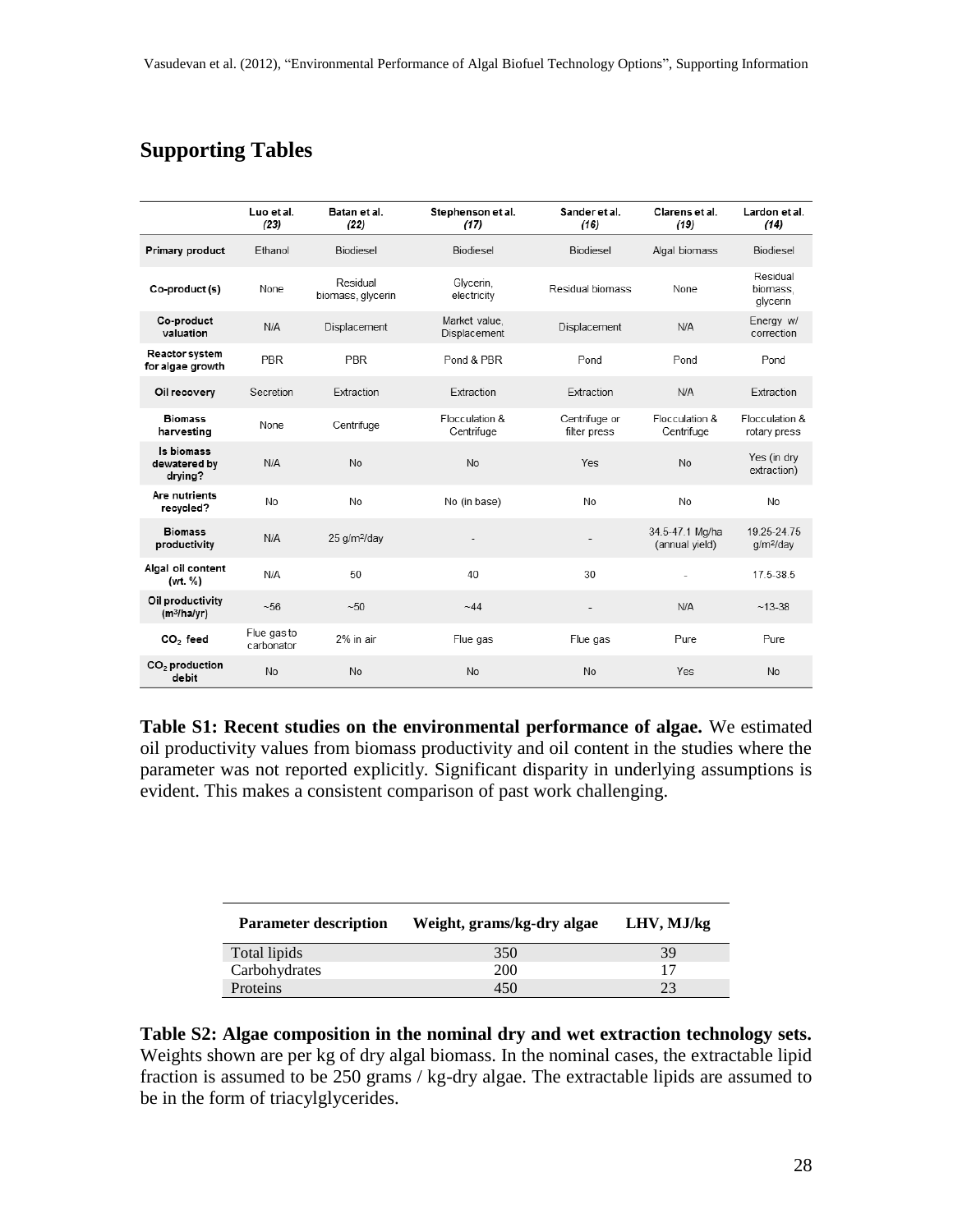### **Supporting Tables**

|                                             | Luo et al.<br>(23)        | Batan et al.<br>(22)          | Stephenson et al.<br>(17)     | Sander et al.<br>(16)         | Clarens et al.<br>(19)            | Lardon et al.<br>(14)                |
|---------------------------------------------|---------------------------|-------------------------------|-------------------------------|-------------------------------|-----------------------------------|--------------------------------------|
| Primary product                             | Ethanol                   | Biodiesel                     | Biodiesel                     | Biodiesel                     | Algal biomass                     | Biodiesel                            |
| Co-product (s)                              | None                      | Residual<br>biomass, glycerin | Glycerin,<br>electricity      | Residual biomass              | None                              | Residual<br>biomass.<br>glycerin     |
| Co-product<br>valuation                     | N/A                       | Displacement                  | Market value.<br>Displacement | Displacement                  | N/A                               | Energy w/<br>correction              |
| Reactor system<br>for algae growth          | PBR                       | <b>PBR</b>                    | Pond & PBR                    | Pond                          | Pond                              | Pond                                 |
| Oil recovery                                | Secretion                 | Extraction                    | Extraction                    | Extraction                    | N/A                               | Extraction                           |
| <b>Biomass</b><br>harvesting                | None                      | Centrifuge                    | Flocculation &<br>Centrifuge  | Centrifuge or<br>filter press | Flocculation &<br>Centrifuge      | Flocculation &<br>rotary press       |
| Is biomass<br>dewatered by<br>drying?       | N/A                       | No                            | No                            | Yes                           | No                                | Yes (in dry<br>extraction)           |
| Are nutrients<br>recycled?                  | No                        | No                            | No (in base)                  | No                            | No                                | No                                   |
| <b>Biomass</b><br>productivity              | N/A                       | 25 g/m <sup>2</sup> /day      |                               | ٠                             | 34.5-47.1 Mg/ha<br>(annual yield) | 19.25-24.75<br>g/m <sup>2</sup> /day |
| Algal oil content<br>(wt. %)                | N/A                       | 50                            | 40                            | 30                            |                                   | 17.5-38.5                            |
| Oil productivity<br>(m <sup>3</sup> /ha/yr) | ~56                       | $-50$                         | $-44$                         | $\overline{a}$                | N/A                               | $~13-38$                             |
| $CO2$ feed                                  | Flue gas to<br>carbonator | 2% in air                     | Flue gas                      | Flue gas                      | Pure                              | Pure                                 |
| $CO2$ production<br>debit                   | No                        | No                            | No                            | No                            | Yes                               | No                                   |

**Table S1: Recent studies on the environmental performance of algae.** We estimated oil productivity values from biomass productivity and oil content in the studies where the parameter was not reported explicitly. Significant disparity in underlying assumptions is evident. This makes a consistent comparison of past work challenging.

| <b>Parameter description</b> | Weight, grams/kg-dry algae | LHV, MJ/kg |
|------------------------------|----------------------------|------------|
| Total lipids                 | 350                        | 39         |
| Carbohydrates                | 200                        |            |
| Proteins                     | 450                        |            |

**Table S2: Algae composition in the nominal dry and wet extraction technology sets.**  Weights shown are per kg of dry algal biomass. In the nominal cases, the extractable lipid fraction is assumed to be 250 grams / kg-dry algae. The extractable lipids are assumed to be in the form of triacylglycerides.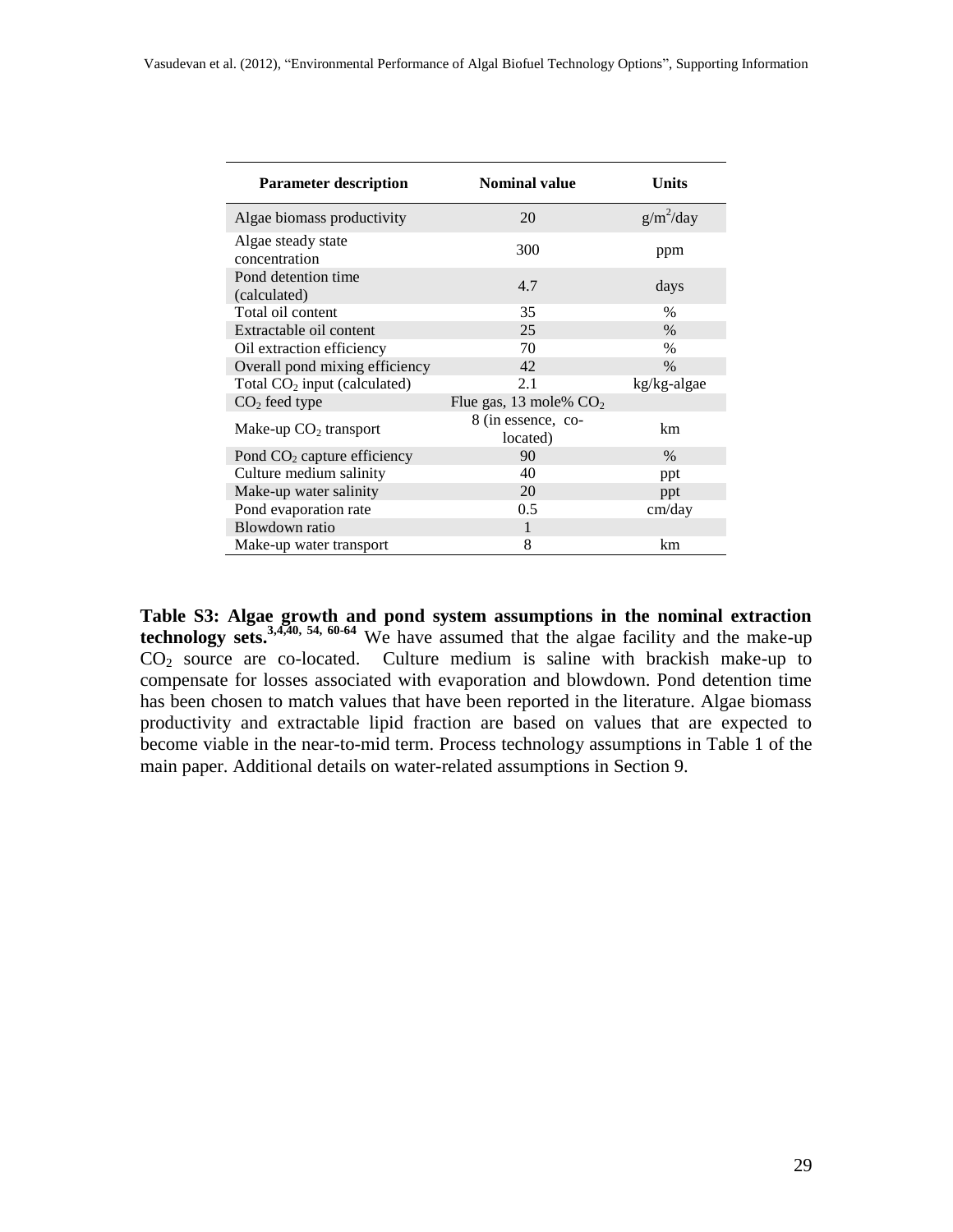| <b>Parameter description</b>        | <b>Nominal value</b>           | <b>Units</b>  |
|-------------------------------------|--------------------------------|---------------|
| Algae biomass productivity          | 20                             | $g/m^2$ /day  |
| Algae steady state<br>concentration | 300                            | ppm           |
| Pond detention time<br>(calculated) | 4.7                            | days          |
| Total oil content                   | 35                             | $\frac{0}{0}$ |
| Extractable oil content             | 25                             | $\%$          |
| Oil extraction efficiency           | 70                             | $\%$          |
| Overall pond mixing efficiency      | 42                             | $\%$          |
| Total $CO2$ input (calculated)      | 2.1                            | kg/kg-algae   |
| $CO2$ feed type                     | Flue gas, 13 mole% $CO2$       |               |
| Make-up $CO2$ transport             | 8 (in essence, co-<br>located) | km            |
| Pond $CO2$ capture efficiency       | 90                             | $\%$          |
| Culture medium salinity             | 40                             | ppt           |
| Make-up water salinity              | 20                             | ppt           |
| Pond evaporation rate               | 0.5                            | cm/day        |
| Blowdown ratio                      | 1                              |               |
| Make-up water transport             | 8                              | km            |

**Table S3: Algae growth and pond system assumptions in the nominal extraction technology sets.** [3,](#page-16-3)[4](#page-16-4)[,40,](#page-18-9) [54,](#page-19-7) [60-](#page-19-8)[64](#page-19-9) We have assumed that the algae facility and the make-up  $CO<sub>2</sub>$  source are co-located. Culture medium is saline with brackish make-up to compensate for losses associated with evaporation and blowdown. Pond detention time has been chosen to match values that have been reported in the literature. Algae biomass productivity and extractable lipid fraction are based on values that are expected to become viable in the near-to-mid term. Process technology assumptions in Table 1 of the main paper. Additional details on water-related assumptions in Section 9.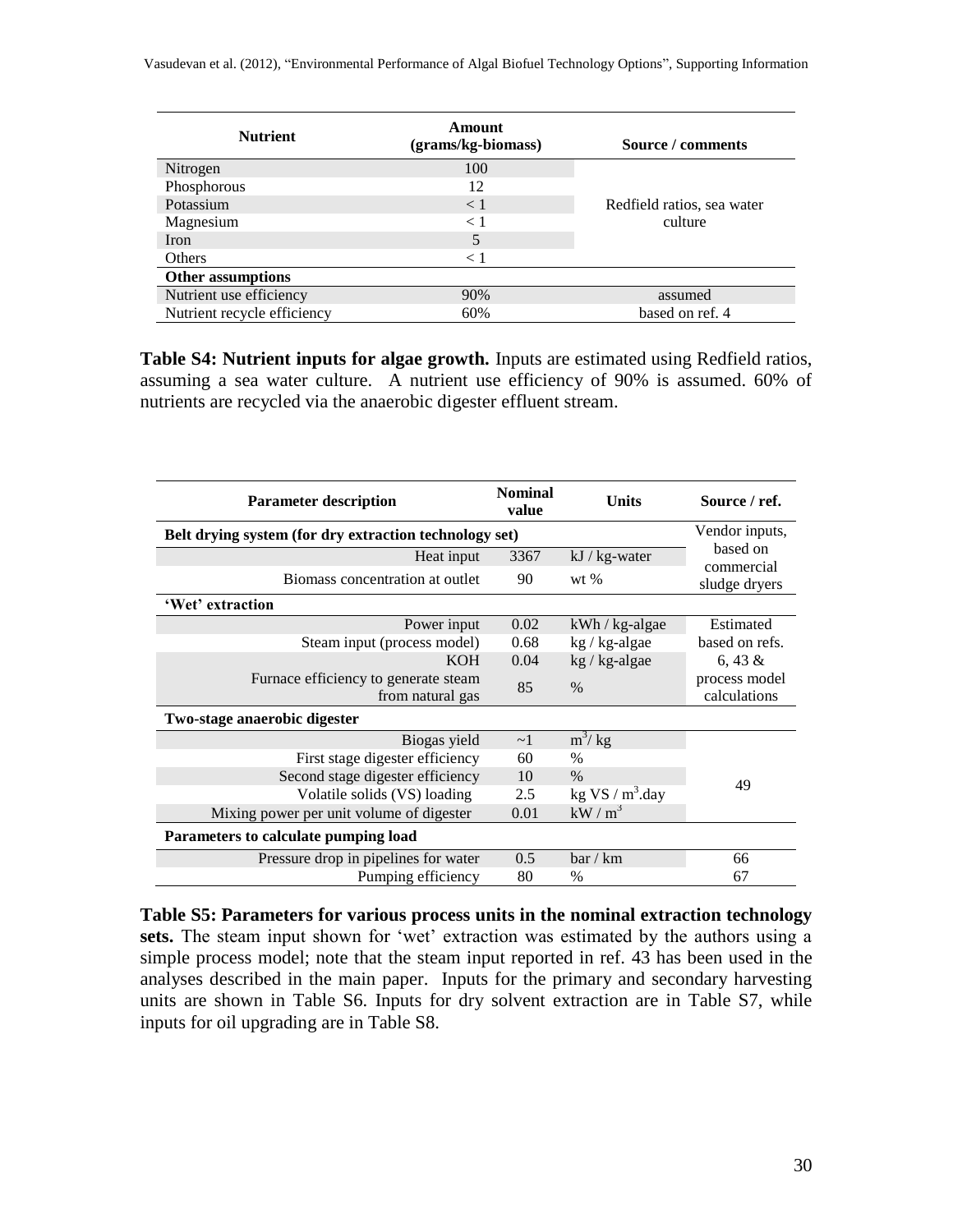| <b>Nutrient</b>             | Amount<br>(grams/kg-biomass) | Source / comments          |
|-----------------------------|------------------------------|----------------------------|
| Nitrogen                    | 100                          |                            |
| Phosphorous                 | 12                           |                            |
| Potassium                   | $\leq 1$                     | Redfield ratios, sea water |
| Magnesium                   | $\lt 1$                      | culture                    |
| Iron                        | 5                            |                            |
| Others                      | $\lt 1$                      |                            |
| <b>Other assumptions</b>    |                              |                            |
| Nutrient use efficiency     | 90%                          | assumed                    |
| Nutrient recycle efficiency | 60%                          | based on ref. 4            |

**Table S4: Nutrient inputs for algae growth.** Inputs are estimated using Redfield ratios, assuming a sea water culture. A nutrient use efficiency of 90% is assumed. 60% of nutrients are recycled via the anaerobic digester effluent stream.

| <b>Parameter description</b>                             | <b>Nominal</b><br>value | <b>Units</b>       | Source / ref.                 |
|----------------------------------------------------------|-------------------------|--------------------|-------------------------------|
| Belt drying system (for dry extraction technology set)   |                         |                    | Vendor inputs,                |
| Heat input                                               | 3367                    | kJ / kg-water      | based on<br>commercial        |
| Biomass concentration at outlet                          | 90                      | wt $%$             | sludge dryers                 |
| 'Wet' extraction                                         |                         |                    |                               |
| Power input                                              | 0.02                    | $kWh / kg$ -algae  | Estimated                     |
| Steam input (process model)                              | 0.68                    | kg / kg-algae      | based on refs.                |
| KOH                                                      | 0.04                    | kg / kg-algae      | 6, 43 $\&$                    |
| Furnace efficiency to generate steam<br>from natural gas | 85                      | $\frac{0}{0}$      | process model<br>calculations |
| Two-stage anaerobic digester                             |                         |                    |                               |
| Biogas yield                                             | $\sim$ 1                | $m^3$ / kg         |                               |
| First stage digester efficiency                          | 60                      | $\frac{0}{0}$      |                               |
| Second stage digester efficiency                         | 10                      | $\frac{0}{0}$      | 49                            |
| Volatile solids (VS) loading                             | 2.5                     | kg VS / $m^3$ .day |                               |
| Mixing power per unit volume of digester                 | 0.01                    | $kW/m^3$           |                               |
| Parameters to calculate pumping load                     |                         |                    |                               |
| Pressure drop in pipelines for water                     | 0.5                     | bar/km             | 66                            |
| Pumping efficiency                                       | 80                      | $\%$               | 67                            |

**Table S5: Parameters for various process units in the nominal extraction technology**  sets. The steam input shown for 'wet' extraction was estimated by the authors using a simple process model; note that the steam input reported in ref. [43](#page-18-12) has been used in the analyses described in the main paper. Inputs for the primary and secondary harvesting units are shown in Table S6. Inputs for dry solvent extraction are in Table S7, while inputs for oil upgrading are in Table S8.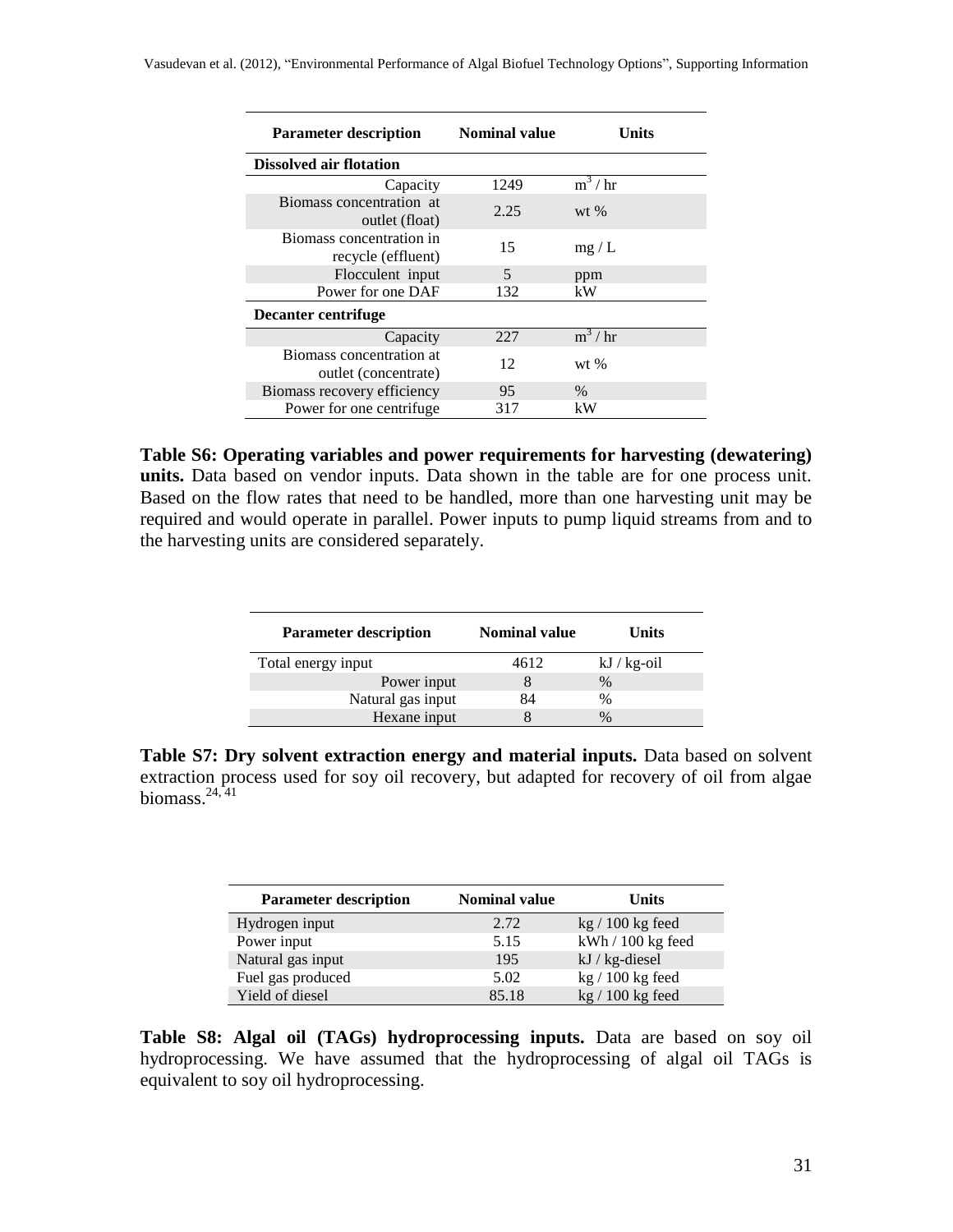| <b>Parameter description</b>                     | <b>Nominal value</b> | Units    |
|--------------------------------------------------|----------------------|----------|
| <b>Dissolved air flotation</b>                   |                      |          |
| Capacity                                         | 1249                 | $m^3/hr$ |
| Biomass concentration at<br>outlet (float)       | 2.25                 | $wt$ %   |
| Biomass concentration in<br>recycle (effluent)   | 15                   | mg/L     |
| Flocculent input                                 | 5                    | ppm      |
| Power for one DAF                                | 132                  | kW       |
| Decanter centrifuge                              |                      |          |
| Capacity                                         | 227                  | $m^3/hr$ |
| Biomass concentration at<br>outlet (concentrate) | 12                   | $wt$ %   |
| Biomass recovery efficiency                      | 95                   | $\%$     |
| Power for one centrifuge.                        | 317                  | kW       |

**Table S6: Operating variables and power requirements for harvesting (dewatering) units.** Data based on vendor inputs. Data shown in the table are for one process unit. Based on the flow rates that need to be handled, more than one harvesting unit may be required and would operate in parallel. Power inputs to pump liquid streams from and to the harvesting units are considered separately.

| <b>Parameter description</b> | <b>Nominal value</b> | Units          |
|------------------------------|----------------------|----------------|
| Total energy input           | 4612                 | $kJ / kg$ -oil |
| Power input                  |                      | $\%$           |
| Natural gas input            | 84                   | $\%$           |
| Hexane input                 |                      | $\%$           |

**Table S7: Dry solvent extraction energy and material inputs.** Data based on solvent extraction process used for soy oil recovery, but adapted for recovery of oil from algae biomass. $24,41$  $24,41$ 

| <b>Parameter description</b> | <b>Nominal value</b> | Units              |
|------------------------------|----------------------|--------------------|
| Hydrogen input               | 2.72                 | $kg/100$ kg feed   |
| Power input                  | 5.15                 | kWh / 100 kg feed  |
| Natural gas input            | 195                  | $kJ / kg$ -diesel  |
| Fuel gas produced            | 5.02                 | $kg / 100 kg$ feed |
| Yield of diesel              | 85.18                | $kg / 100 kg$ feed |

**Table S8: Algal oil (TAGs) hydroprocessing inputs.** Data are based on soy oil hydroprocessing. We have assumed that the hydroprocessing of algal oil TAGs is equivalent to soy oil hydroprocessing.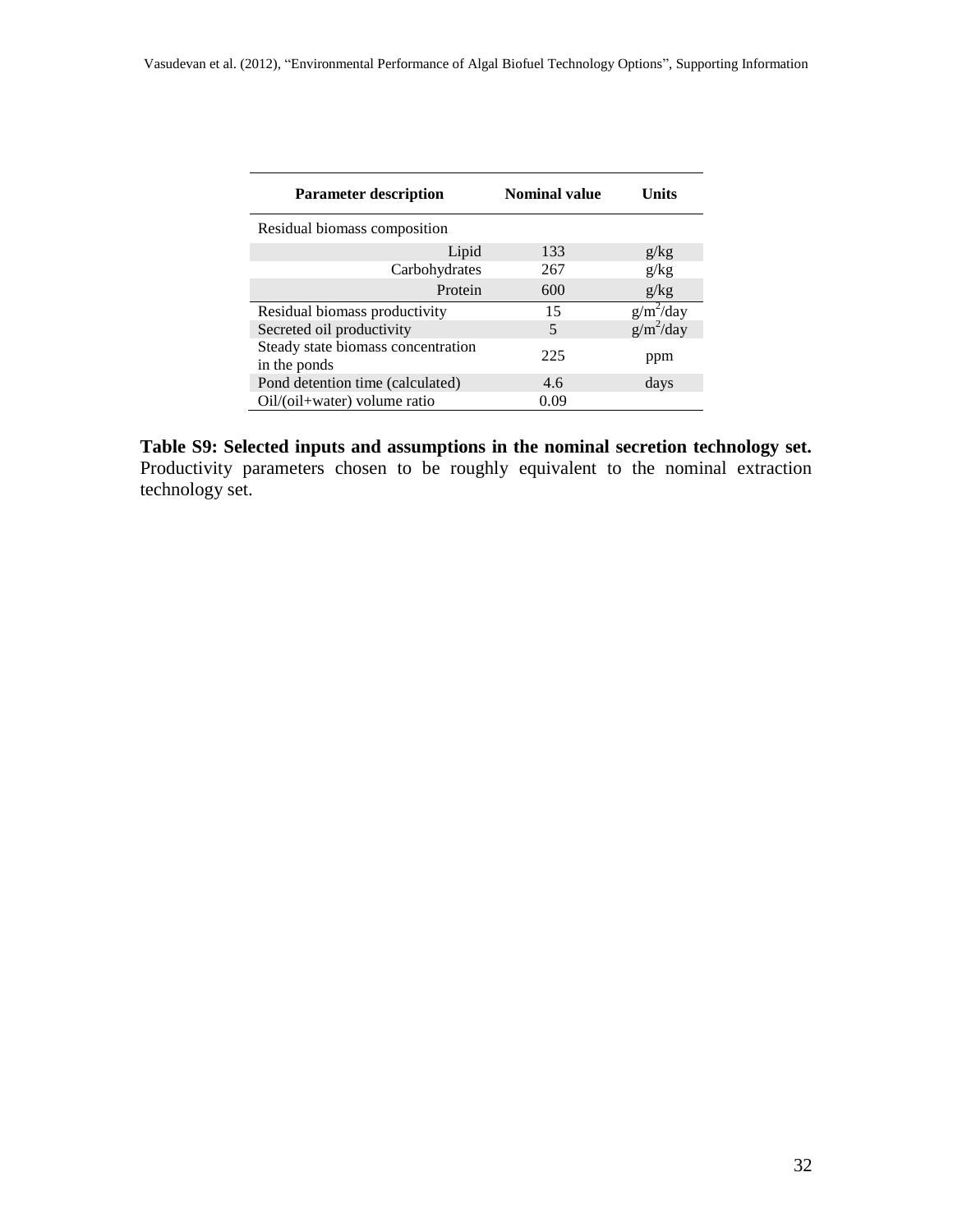| <b>Parameter description</b>                       | <b>Nominal value</b> | Units        |
|----------------------------------------------------|----------------------|--------------|
| Residual biomass composition                       |                      |              |
| Lipid                                              | 133                  | g/kg         |
| Carbohydrates                                      | 267                  | g/kg         |
| Protein                                            | 600                  | g/kg         |
| Residual biomass productivity                      | 15                   | $g/m^2$ /day |
| Secreted oil productivity                          | 5                    | $g/m^2$ /day |
| Steady state biomass concentration<br>in the ponds | 225                  | ppm          |
| Pond detention time (calculated)                   | 4.6                  | days         |
| Oil/(oil+water) volume ratio                       | 0.09                 |              |

**Table S9: Selected inputs and assumptions in the nominal secretion technology set.** Productivity parameters chosen to be roughly equivalent to the nominal extraction technology set.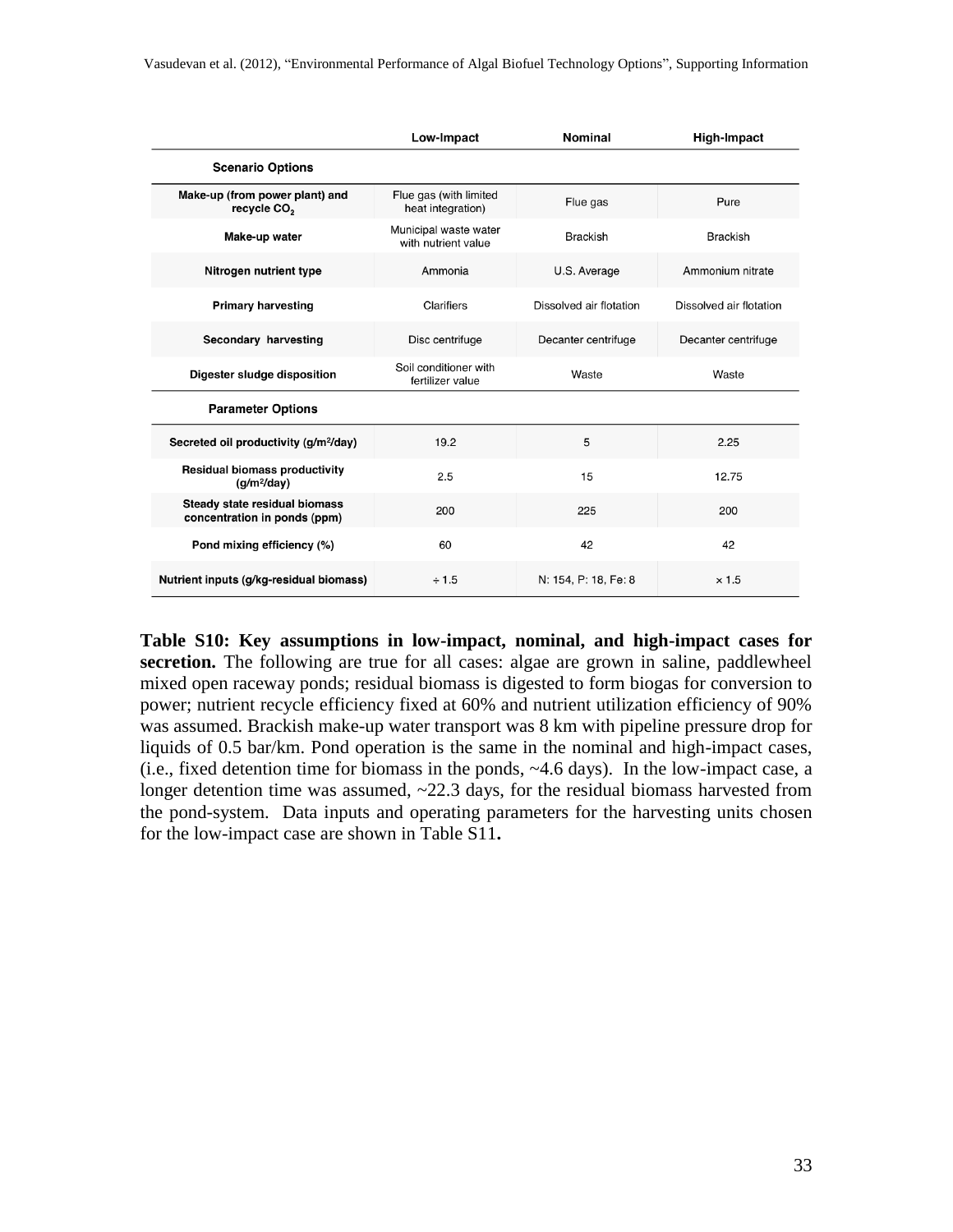|                                                               | Low-Impact                                   | Nominal                 | <b>High-Impact</b>      |
|---------------------------------------------------------------|----------------------------------------------|-------------------------|-------------------------|
| <b>Scenario Options</b>                                       |                                              |                         |                         |
| Make-up (from power plant) and<br>recycle CO <sub>2</sub>     | Flue gas (with limited<br>heat integration)  | Flue gas                | Pure                    |
| Make-up water                                                 | Municipal waste water<br>with nutrient value | <b>Brackish</b>         | <b>Brackish</b>         |
| Nitrogen nutrient type                                        | Ammonia                                      | U.S. Average            | Ammonium nitrate        |
| <b>Primary harvesting</b>                                     | Clarifiers                                   | Dissolved air flotation | Dissolved air flotation |
| Secondary harvesting                                          | Disc centrifuge                              | Decanter centrifuge     | Decanter centrifuge     |
| Digester sludge disposition                                   | Soil conditioner with<br>fertilizer value    | Waste                   | Waste                   |
| <b>Parameter Options</b>                                      |                                              |                         |                         |
| Secreted oil productivity (g/m <sup>2</sup> /day)             | 19.2                                         | 5                       | 2.25                    |
| <b>Residual biomass productivity</b><br>$(q/m^2/day)$         | 2.5                                          | 15                      | 12.75                   |
| Steady state residual biomass<br>concentration in ponds (ppm) | 200                                          | 225                     | 200                     |
| Pond mixing efficiency (%)                                    | 60                                           | 42                      | 42                      |
| Nutrient inputs (g/kg-residual biomass)                       | ÷ 1.5                                        | N: 154, P: 18, Fe: 8    | $\times 1.5$            |

**Table S10: Key assumptions in low-impact, nominal, and high-impact cases for secretion.** The following are true for all cases: algae are grown in saline, paddlewheel mixed open raceway ponds; residual biomass is digested to form biogas for conversion to power; nutrient recycle efficiency fixed at 60% and nutrient utilization efficiency of 90% was assumed. Brackish make-up water transport was 8 km with pipeline pressure drop for liquids of 0.5 bar/km. Pond operation is the same in the nominal and high-impact cases, (i.e., fixed detention time for biomass in the ponds, ~4.6 days). In the low-impact case, a longer detention time was assumed,  $\sim$ 22.3 days, for the residual biomass harvested from the pond-system. Data inputs and operating parameters for the harvesting units chosen for the low-impact case are shown in Table S11**.**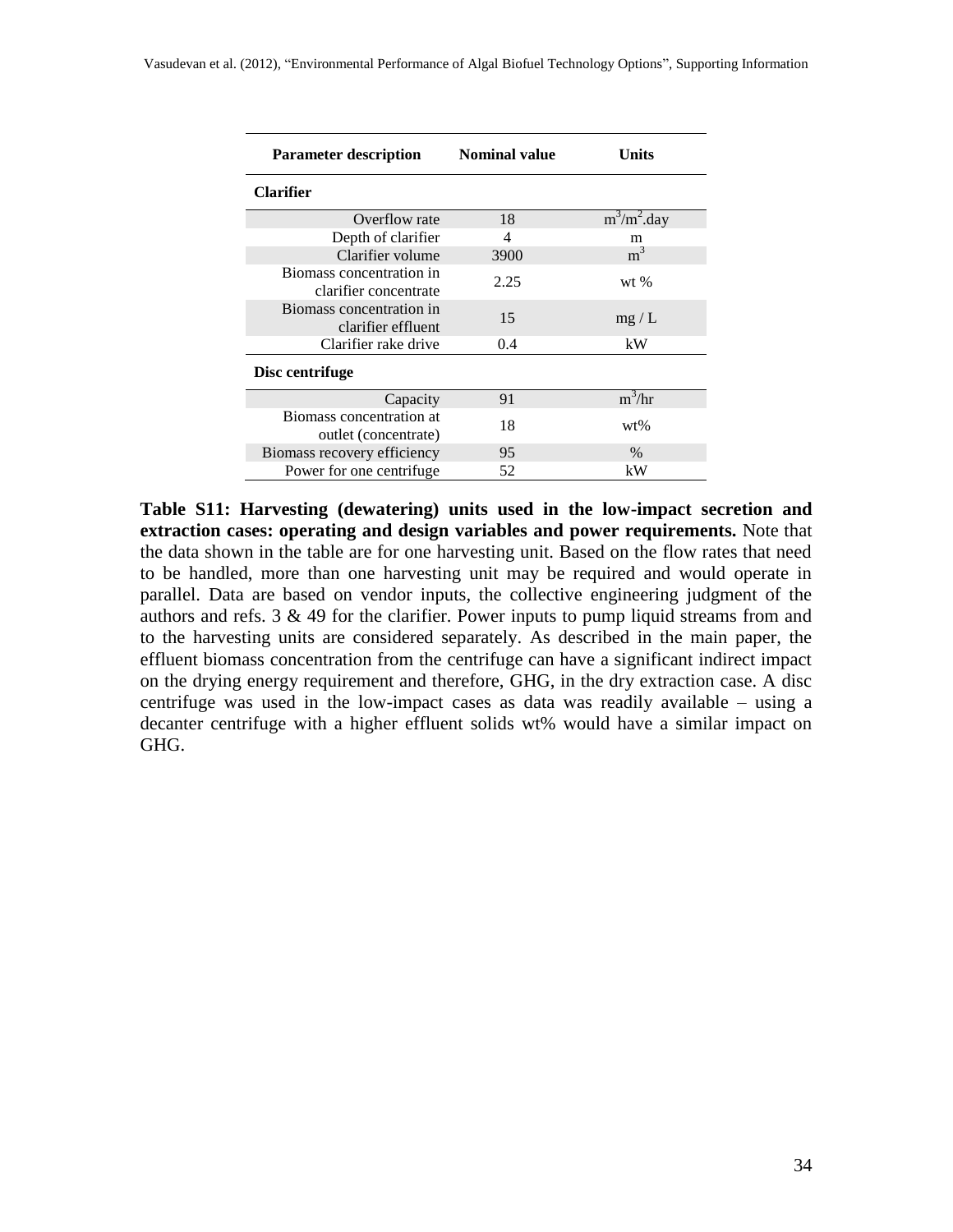| <b>Parameter description</b>                      | <b>Nominal value</b> | Units          |
|---------------------------------------------------|----------------------|----------------|
| <b>Clarifier</b>                                  |                      |                |
| Overflow rate                                     | 18                   | $m^3/m^2$ .day |
| Depth of clarifier                                | 4                    | m              |
| Clarifier volume                                  | 3900                 | m <sup>3</sup> |
| Biomass concentration in<br>clarifier concentrate | 2.25                 | wt $%$         |
| Biomass concentration in<br>clarifier effluent    | 15                   | mg/L           |
| Clarifier rake drive                              | 0.4                  | kW             |
| Disc centrifuge                                   |                      |                |
| Capacity                                          | 91                   | $m^3/hr$       |
| Biomass concentration at<br>outlet (concentrate)  | 18                   | $wt\%$         |
| Biomass recovery efficiency                       | 95                   | $\%$           |
| Power for one centrifuge.                         | 52                   | kW             |

**Table S11: Harvesting (dewatering) units used in the low-impact secretion and extraction cases: operating and design variables and power requirements.** Note that the data shown in the table are for one harvesting unit. Based on the flow rates that need to be handled, more than one harvesting unit may be required and would operate in parallel. Data are based on vendor inputs, the collective engineering judgment of the authors and refs.  $3 \& 49$  $3 \& 49$  for the clarifier. Power inputs to pump liquid streams from and to the harvesting units are considered separately. As described in the main paper, the effluent biomass concentration from the centrifuge can have a significant indirect impact on the drying energy requirement and therefore, GHG, in the dry extraction case. A disc centrifuge was used in the low-impact cases as data was readily available – using a decanter centrifuge with a higher effluent solids wt% would have a similar impact on GHG.